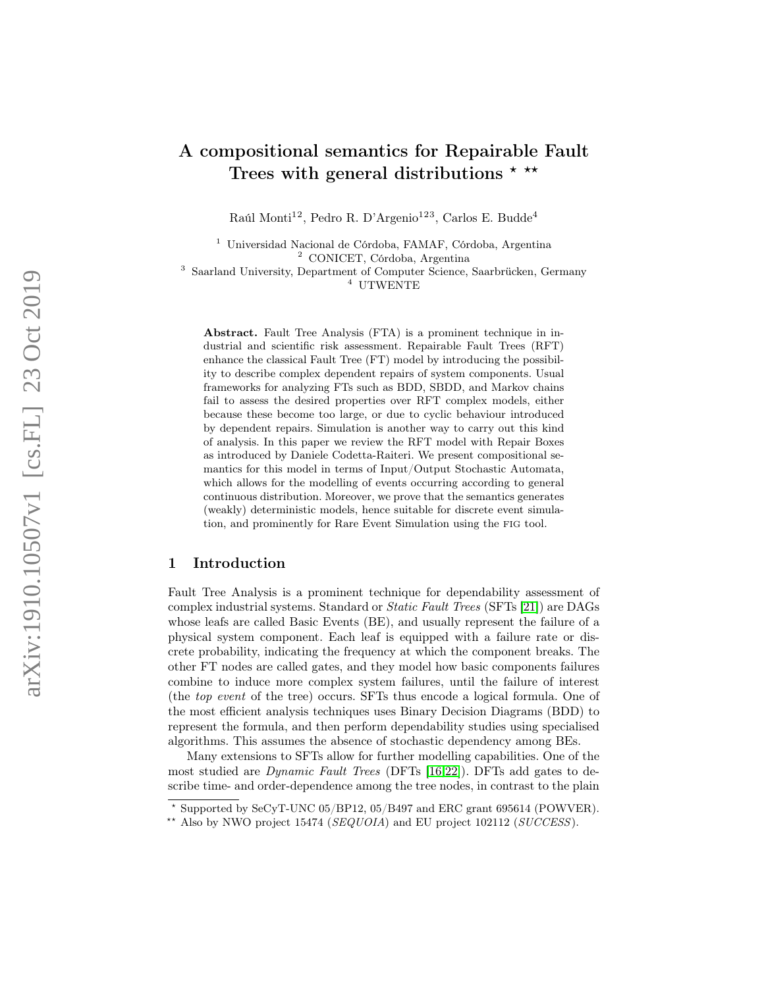# A compositional semantics for Repairable Fault Trees with general distributions  $* * *$

Raúl Monti<sup>12</sup>, Pedro R. D'Argenio<sup>123</sup>, Carlos E. Budde<sup>4</sup>

<sup>1</sup> Universidad Nacional de Córdoba, FAMAF, Córdoba, Argentina <sup>2</sup> CONICET, Córdoba, Argentina <sup>3</sup> Saarland University, Department of Computer Science, Saarbrücken, Germany

<sup>4</sup> UTWENTE

Abstract. Fault Tree Analysis (FTA) is a prominent technique in industrial and scientific risk assessment. Repairable Fault Trees (RFT) enhance the classical Fault Tree (FT) model by introducing the possibility to describe complex dependent repairs of system components. Usual frameworks for analyzing FTs such as BDD, SBDD, and Markov chains fail to assess the desired properties over RFT complex models, either because these become too large, or due to cyclic behaviour introduced by dependent repairs. Simulation is another way to carry out this kind of analysis. In this paper we review the RFT model with Repair Boxes as introduced by Daniele Codetta-Raiteri. We present compositional semantics for this model in terms of Input/Output Stochastic Automata, which allows for the modelling of events occurring according to general continuous distribution. Moreover, we prove that the semantics generates (weakly) deterministic models, hence suitable for discrete event simulation, and prominently for Rare Event Simulation using the FIG tool.

## 1 Introduction

Fault Tree Analysis is a prominent technique for dependability assessment of complex industrial systems. Standard or Static Fault Trees (SFTs [\[21\]](#page-16-0)) are DAGs whose leafs are called Basic Events (BE), and usually represent the failure of a physical system component. Each leaf is equipped with a failure rate or discrete probability, indicating the frequency at which the component breaks. The other FT nodes are called gates, and they model how basic components failures combine to induce more complex system failures, until the failure of interest (the top event of the tree) occurs. SFTs thus encode a logical formula. One of the most efficient analysis techniques uses Binary Decision Diagrams (BDD) to represent the formula, and then perform dependability studies using specialised algorithms. This assumes the absence of stochastic dependency among BEs.

Many extensions to SFTs allow for further modelling capabilities. One of the most studied are Dynamic Fault Trees (DFTs [\[16,](#page-16-1)[22\]](#page-16-2)). DFTs add gates to describe time- and order-dependence among the tree nodes, in contrast to the plain

 $\overline{\star}$  Supported by SeCyT-UNC 05/BP12, 05/B497 and ERC grant 695614 (POWVER).

<sup>\*\*</sup> Also by NWO project 15474 ( $SEQUOIA$ ) and EU project 102112 ( $SUCCESS$ ).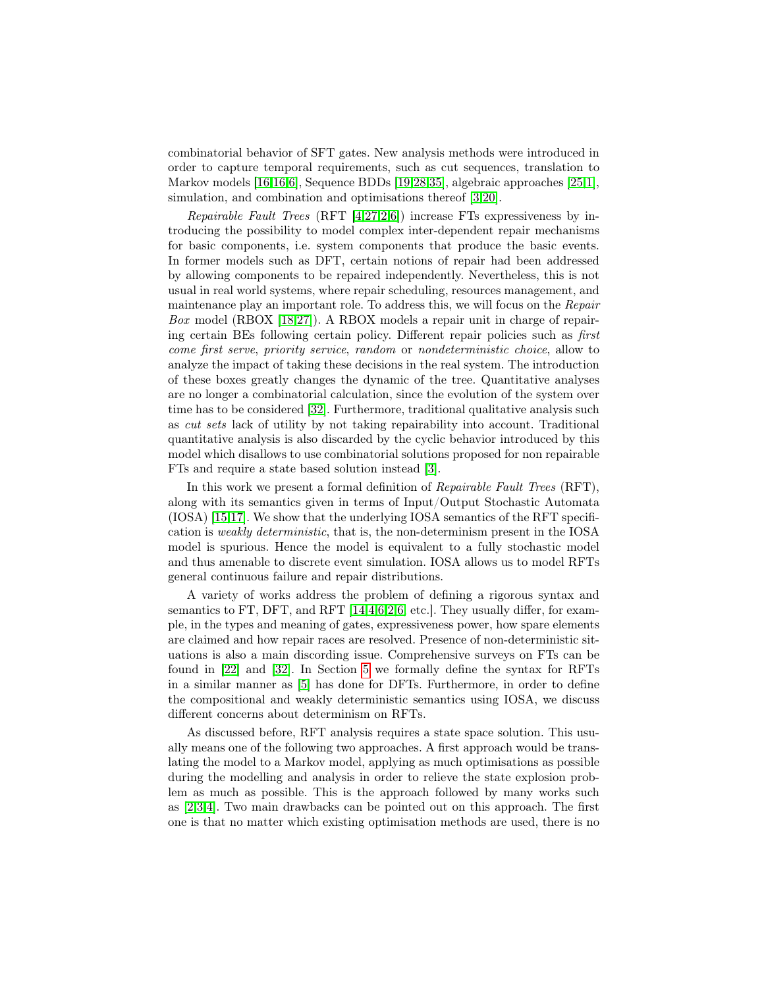combinatorial behavior of SFT gates. New analysis methods were introduced in order to capture temporal requirements, such as cut sequences, translation to Markov models [\[16,16,](#page-16-1)[6\]](#page-15-0), Sequence BDDs [\[19,](#page-16-3)[28](#page-17-0)[,35\]](#page-17-1), algebraic approaches [\[25,](#page-16-4)[1\]](#page-15-1), simulation, and combination and optimisations thereof [\[3,](#page-15-2)[20\]](#page-16-5).

Repairable Fault Trees (RFT [\[4,](#page-15-3)[27,](#page-17-2)[2](#page-15-4)[,6\]](#page-15-0)) increase FTs expressiveness by introducing the possibility to model complex inter-dependent repair mechanisms for basic components, i.e. system components that produce the basic events. In former models such as DFT, certain notions of repair had been addressed by allowing components to be repaired independently. Nevertheless, this is not usual in real world systems, where repair scheduling, resources management, and maintenance play an important role. To address this, we will focus on the Repair Box model (RBOX [\[18](#page-16-6)[,27\]](#page-17-2)). A RBOX models a repair unit in charge of repairing certain BEs following certain policy. Different repair policies such as first come first serve, priority service, random or nondeterministic choice, allow to analyze the impact of taking these decisions in the real system. The introduction of these boxes greatly changes the dynamic of the tree. Quantitative analyses are no longer a combinatorial calculation, since the evolution of the system over time has to be considered [\[32\]](#page-17-3). Furthermore, traditional qualitative analysis such as cut sets lack of utility by not taking repairability into account. Traditional quantitative analysis is also discarded by the cyclic behavior introduced by this model which disallows to use combinatorial solutions proposed for non repairable FTs and require a state based solution instead [\[3\]](#page-15-2).

In this work we present a formal definition of *Repairable Fault Trees* (RFT), along with its semantics given in terms of Input/Output Stochastic Automata (IOSA) [\[15,](#page-16-7)[17\]](#page-16-8). We show that the underlying IOSA semantics of the RFT specification is weakly deterministic, that is, the non-determinism present in the IOSA model is spurious. Hence the model is equivalent to a fully stochastic model and thus amenable to discrete event simulation. IOSA allows us to model RFTs general continuous failure and repair distributions.

A variety of works address the problem of defining a rigorous syntax and semantics to FT, DFT, and RFT [\[14,](#page-16-9)[4,](#page-15-3)[6,](#page-15-0)[2,](#page-15-4)6, etc.]. They usually differ, for example, in the types and meaning of gates, expressiveness power, how spare elements are claimed and how repair races are resolved. Presence of non-deterministic situations is also a main discording issue. Comprehensive surveys on FTs can be found in [\[22\]](#page-16-2) and [\[32\]](#page-17-3). In Section [5](#page-6-0) we formally define the syntax for RFTs in a similar manner as [\[5\]](#page-15-5) has done for DFTs. Furthermore, in order to define the compositional and weakly deterministic semantics using IOSA, we discuss different concerns about determinism on RFTs.

As discussed before, RFT analysis requires a state space solution. This usually means one of the following two approaches. A first approach would be translating the model to a Markov model, applying as much optimisations as possible during the modelling and analysis in order to relieve the state explosion problem as much as possible. This is the approach followed by many works such as [\[2,](#page-15-4)[3,](#page-15-2)[4\]](#page-15-3). Two main drawbacks can be pointed out on this approach. The first one is that no matter which existing optimisation methods are used, there is no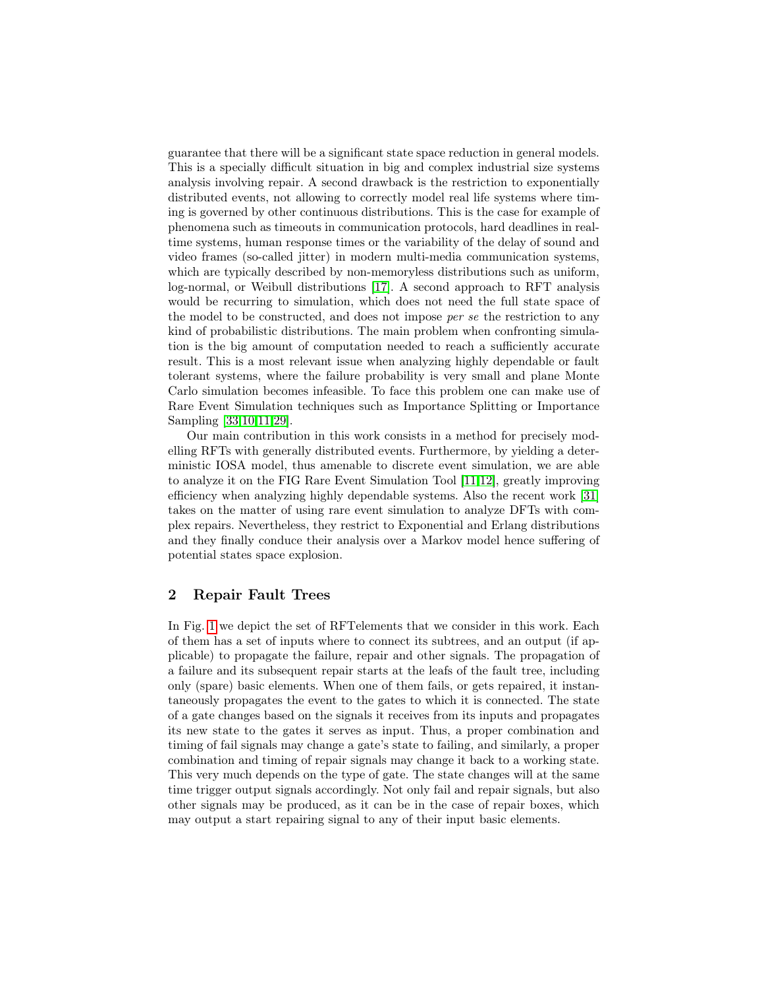guarantee that there will be a significant state space reduction in general models. This is a specially difficult situation in big and complex industrial size systems analysis involving repair. A second drawback is the restriction to exponentially distributed events, not allowing to correctly model real life systems where timing is governed by other continuous distributions. This is the case for example of phenomena such as timeouts in communication protocols, hard deadlines in realtime systems, human response times or the variability of the delay of sound and video frames (so-called jitter) in modern multi-media communication systems, which are typically described by non-memoryless distributions such as uniform, log-normal, or Weibull distributions [\[17\]](#page-16-8). A second approach to RFT analysis would be recurring to simulation, which does not need the full state space of the model to be constructed, and does not impose per se the restriction to any kind of probabilistic distributions. The main problem when confronting simulation is the big amount of computation needed to reach a sufficiently accurate result. This is a most relevant issue when analyzing highly dependable or fault tolerant systems, where the failure probability is very small and plane Monte Carlo simulation becomes infeasible. To face this problem one can make use of Rare Event Simulation techniques such as Importance Splitting or Importance Sampling [\[33](#page-17-4)[,10,](#page-15-6)[11,](#page-16-10)[29\]](#page-17-5).

Our main contribution in this work consists in a method for precisely modelling RFTs with generally distributed events. Furthermore, by yielding a deterministic IOSA model, thus amenable to discrete event simulation, we are able to analyze it on the FIG Rare Event Simulation Tool [\[11,](#page-16-10)[12\]](#page-16-11), greatly improving efficiency when analyzing highly dependable systems. Also the recent work [\[31\]](#page-17-6) takes on the matter of using rare event simulation to analyze DFTs with complex repairs. Nevertheless, they restrict to Exponential and Erlang distributions and they finally conduce their analysis over a Markov model hence suffering of potential states space explosion.

# 2 Repair Fault Trees

In Fig. [1](#page-3-0) we depict the set of RFTelements that we consider in this work. Each of them has a set of inputs where to connect its subtrees, and an output (if applicable) to propagate the failure, repair and other signals. The propagation of a failure and its subsequent repair starts at the leafs of the fault tree, including only (spare) basic elements. When one of them fails, or gets repaired, it instantaneously propagates the event to the gates to which it is connected. The state of a gate changes based on the signals it receives from its inputs and propagates its new state to the gates it serves as input. Thus, a proper combination and timing of fail signals may change a gate's state to failing, and similarly, a proper combination and timing of repair signals may change it back to a working state. This very much depends on the type of gate. The state changes will at the same time trigger output signals accordingly. Not only fail and repair signals, but also other signals may be produced, as it can be in the case of repair boxes, which may output a start repairing signal to any of their input basic elements.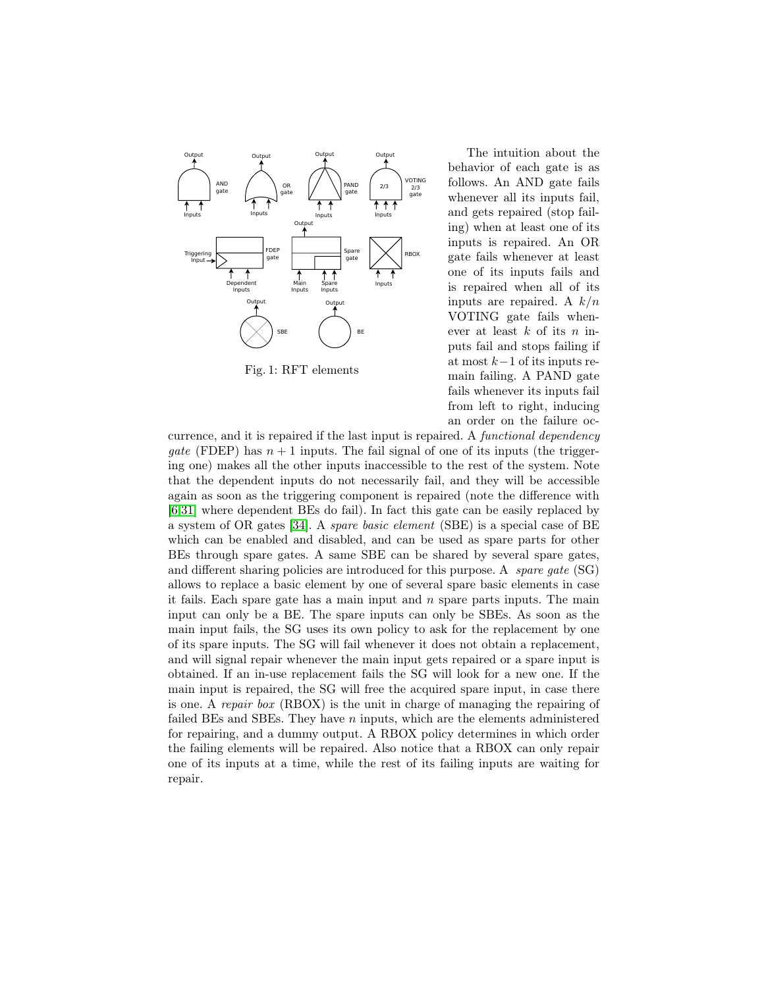<span id="page-3-0"></span>

Fig. 1: RFT elements

The intuition about the behavior of each gate is as follows. An AND gate fails whenever all its inputs fail, and gets repaired (stop failing) when at least one of its inputs is repaired. An OR gate fails whenever at least one of its inputs fails and is repaired when all of its inputs are repaired. A  $k/n$ VOTING gate fails whenever at least  $k$  of its  $n$  inputs fail and stops failing if at most  $k-1$  of its inputs remain failing. A PAND gate fails whenever its inputs fail from left to right, inducing an order on the failure oc-

currence, and it is repaired if the last input is repaired. A functional dependency gate (FDEP) has  $n+1$  inputs. The fail signal of one of its inputs (the triggering one) makes all the other inputs inaccessible to the rest of the system. Note that the dependent inputs do not necessarily fail, and they will be accessible again as soon as the triggering component is repaired (note the difference with [\[6,](#page-15-0)[31\]](#page-17-6) where dependent BEs do fail). In fact this gate can be easily replaced by a system of OR gates [\[34\]](#page-17-7). A spare basic element (SBE) is a special case of BE which can be enabled and disabled, and can be used as spare parts for other BEs through spare gates. A same SBE can be shared by several spare gates, and different sharing policies are introduced for this purpose. A *spare qate* (SG) allows to replace a basic element by one of several spare basic elements in case it fails. Each spare gate has a main input and  $n$  spare parts inputs. The main input can only be a BE. The spare inputs can only be SBEs. As soon as the main input fails, the SG uses its own policy to ask for the replacement by one of its spare inputs. The SG will fail whenever it does not obtain a replacement, and will signal repair whenever the main input gets repaired or a spare input is obtained. If an in-use replacement fails the SG will look for a new one. If the main input is repaired, the SG will free the acquired spare input, in case there is one. A repair box (RBOX) is the unit in charge of managing the repairing of failed BEs and SBEs. They have  $n$  inputs, which are the elements administered for repairing, and a dummy output. A RBOX policy determines in which order the failing elements will be repaired. Also notice that a RBOX can only repair one of its inputs at a time, while the rest of its failing inputs are waiting for repair.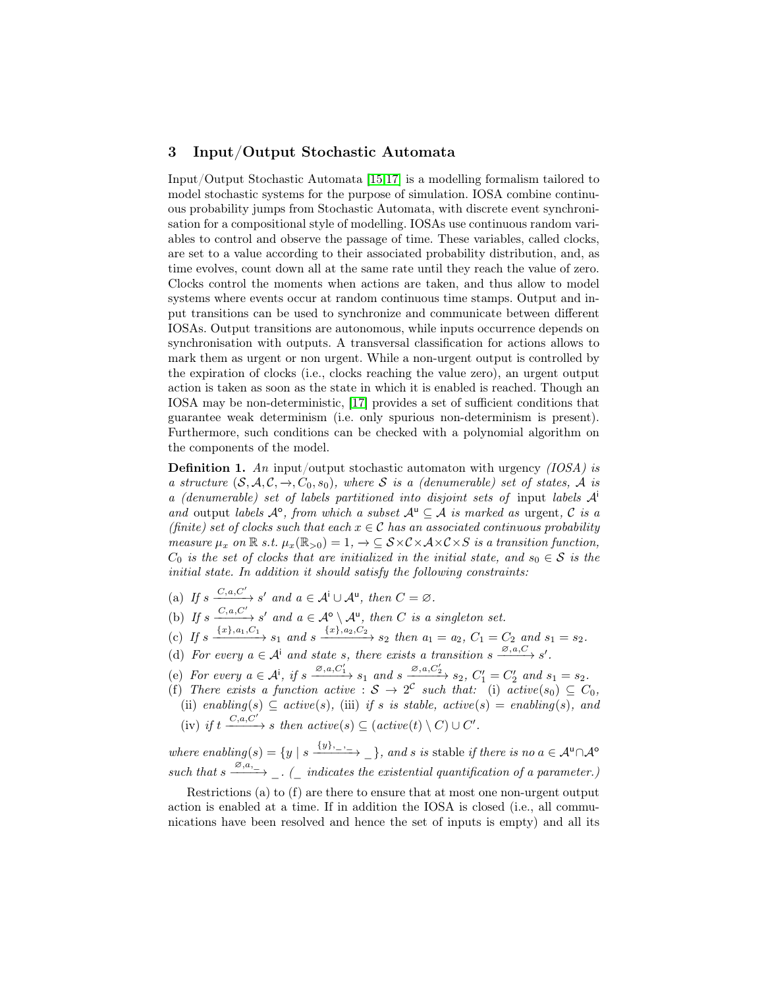## 3 Input/Output Stochastic Automata

Input/Output Stochastic Automata [\[15,](#page-16-7)[17\]](#page-16-8) is a modelling formalism tailored to model stochastic systems for the purpose of simulation. IOSA combine continuous probability jumps from Stochastic Automata, with discrete event synchronisation for a compositional style of modelling. IOSAs use continuous random variables to control and observe the passage of time. These variables, called clocks, are set to a value according to their associated probability distribution, and, as time evolves, count down all at the same rate until they reach the value of zero. Clocks control the moments when actions are taken, and thus allow to model systems where events occur at random continuous time stamps. Output and input transitions can be used to synchronize and communicate between different IOSAs. Output transitions are autonomous, while inputs occurrence depends on synchronisation with outputs. A transversal classification for actions allows to mark them as urgent or non urgent. While a non-urgent output is controlled by the expiration of clocks (i.e., clocks reaching the value zero), an urgent output action is taken as soon as the state in which it is enabled is reached. Though an IOSA may be non-deterministic, [\[17\]](#page-16-8) provides a set of sufficient conditions that guarantee weak determinism (i.e. only spurious non-determinism is present). Furthermore, such conditions can be checked with a polynomial algorithm on the components of the model.

**Definition 1.** An input/output stochastic automaton with urgency  $(IOSA)$  is a structure  $(S, \mathcal{A}, \mathcal{C}, \rightarrow, C_0, s_0)$ , where S is a (denumerable) set of states, A is a (denumerable) set of labels partitioned into disjoint sets of input labels  $A^i$ and output labels  $\mathcal{A}^{\circ}$ , from which a subset  $\mathcal{A}^{\mathsf{u}} \subseteq \mathcal{A}$  is marked as urgent,  $\mathcal{C}$  is a (finite) set of clocks such that each  $x \in \mathcal{C}$  has an associated continuous probability measure  $\mu_x$  on  $\mathbb R$  s.t.  $\mu_x(\mathbb R_{>0}) = 1, \rightarrow \subseteq \mathcal{S} \times \mathcal{C} \times \mathcal{A} \times \mathcal{C} \times S$  is a transition function,  $C_0$  is the set of clocks that are initialized in the initial state, and  $s_0 \in \mathcal{S}$  is the initial state. In addition it should satisfy the following constraints:

- (a) If  $s \xrightarrow{C, a, C'} s'$  and  $a \in A^{\dagger} \cup A^{\dagger}$ , then  $C = \emptyset$ .
- (b) If  $s \xrightarrow{C, a, C'} s'$  and  $a \in \mathcal{A}^{\circ} \setminus \mathcal{A}^{\mathsf{u}}$ , then C is a singleton set.
- (c) If  $s \xrightarrow{\{x\},a_1,C_1} s_1$  and  $s \xrightarrow{\{x\},a_2,C_2} s_2$  then  $a_1 = a_2, C_1 = C_2$  and  $s_1 = s_2$ .
- (d) For every  $a \in A^{\dagger}$  and state s, there exists a transition  $s \xrightarrow{\varnothing, a, C} s'$ .
- (e) For every  $a \in \mathcal{A}^i$ , if  $s \xrightarrow{\varnothing, a, C'_1} s_1$  and  $s \xrightarrow[\alpha, \alpha, C'_2] \negthinspace \longrightarrow s_2$ ,  $C'_1 = C'_2$  and  $s_1 = s_2$ .
- (f) There exists a function active :  $S \to 2^{\mathcal{C}}$  such that: (i) active(s<sub>0</sub>)  $\subseteq C_0$ , (ii) enabling(s)  $\subseteq$  active(s), (iii) if s is stable, active(s) = enabling(s), and (iv) if  $t \xrightarrow{C,a,C'} s$  then  $active(s) \subseteq (active(t) \setminus C) \cup C'.$

where enabling(s) =  $\{y \mid s \xrightarrow{\{y\}, -} \}$ , and s is stable if there is no  $a \in \mathcal{A}^{\mathsf{u}} \cap \mathcal{A}^{\mathsf{o}}$ such that  $s \xrightarrow{\varnothing, a, -}$ . (\_ indicates the existential quantification of a parameter.)

Restrictions (a) to (f) are there to ensure that at most one non-urgent output action is enabled at a time. If in addition the IOSA is closed (i.e., all communications have been resolved and hence the set of inputs is empty) and all its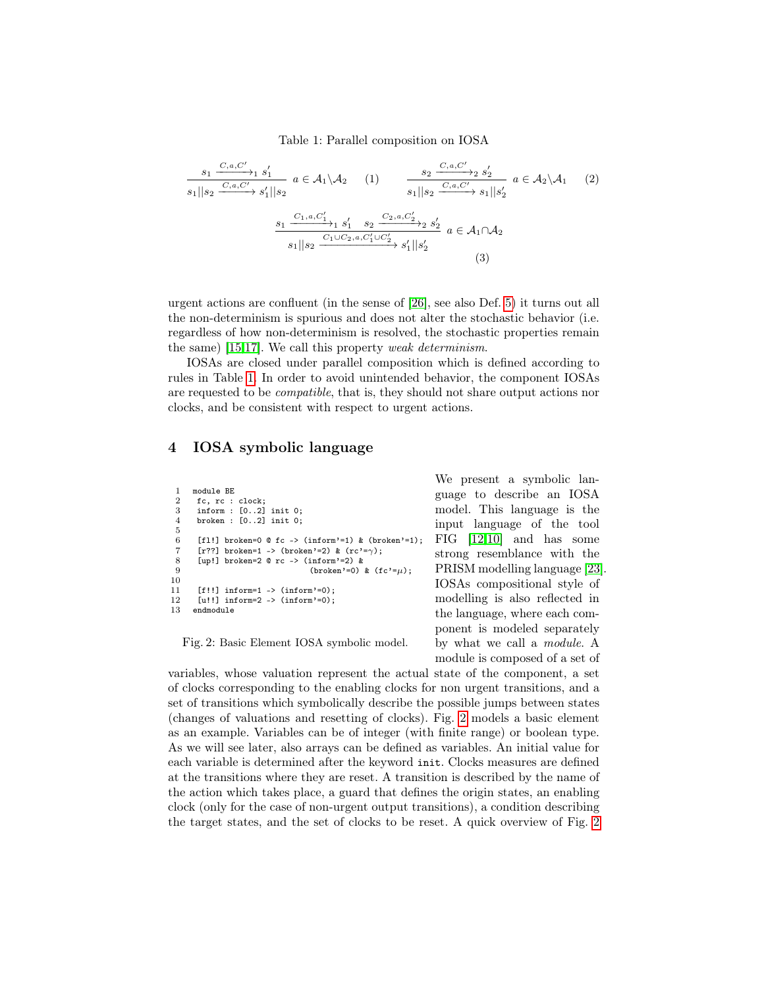Table 1: Parallel composition on IOSA

<span id="page-5-0"></span>
$$
\frac{s_1 \xrightarrow{C,a,C'}{}_{1} s'_1}{s_1 || s_2 \xrightarrow{C,a,C'} s'_1 || s_2} a \in \mathcal{A}_1 \setminus \mathcal{A}_2 \qquad (1) \qquad \frac{s_2 \xrightarrow{C,a,C'}{}_{2} s'_2}{s_1 || s_2 \xrightarrow{C,a,C'} s_1 || s'_2} a \in \mathcal{A}_2 \setminus \mathcal{A}_1 \qquad (2)
$$

$$
\frac{s_1 \xrightarrow{C_1,a,C'_1}{}_{1} s'_1 \xrightarrow{s_2} \xrightarrow{C_2,a,C'_2}{}_{2} s'_2}{s_1 || s_2 \xrightarrow{C_1 \cup C_2,a,C'_1 \cup C'_2}{}_{s'_1} || s'_2} a \in \mathcal{A}_1 \cap \mathcal{A}_2
$$
(3)

urgent actions are confluent (in the sense of [\[26\]](#page-17-8), see also Def. [5\)](#page-11-0) it turns out all the non-determinism is spurious and does not alter the stochastic behavior (i.e. regardless of how non-determinism is resolved, the stochastic properties remain the same) [\[15](#page-16-7)[,17\]](#page-16-8). We call this property weak determinism.

IOSAs are closed under parallel composition which is defined according to rules in Table [1.](#page-5-0) In order to avoid unintended behavior, the component IOSAs are requested to be compatible, that is, they should not share output actions nor clocks, and be consistent with respect to urgent actions.

## 4 IOSA symbolic language

```
1 module BE
 2 fc, rc : clock;
 3 inform : [0..2] init 0;
 4 broken : [0..2] init 0;
 \frac{5}{6}[fl!] broken=0 @ fc -> (inform'=1) & (broken'=1);
 7 [r??] broken=1 -> (broken'=2) & (re'=\gamma);
 8 [up!] broken=2 @ rc -> (inform'=2) &<br>9
                                   (\text{broken'}=0) & (fc'=u):
10
11 [f!!] inform=1 -> (inform'=0);<br>12 [u!!] inform=2 -> (inform'=0);
      \lceil u!! \rceil inform=2 -> (inform'=0);
13 endmodule
```
Fig. 2: Basic Element IOSA symbolic model.

We present a symbolic language to describe an IOSA model. This language is the input language of the tool FIG [\[12,](#page-16-11)[10\]](#page-15-6) and has some strong resemblance with the PRISM modelling language [\[23\]](#page-16-12). IOSAs compositional style of modelling is also reflected in the language, where each component is modeled separately by what we call a module. A module is composed of a set of

variables, whose valuation represent the actual state of the component, a set of clocks corresponding to the enabling clocks for non urgent transitions, and a set of transitions which symbolically describe the possible jumps between states (changes of valuations and resetting of clocks). Fig. [2](#page-5-1) models a basic element as an example. Variables can be of integer (with finite range) or boolean type. As we will see later, also arrays can be defined as variables. An initial value for each variable is determined after the keyword init. Clocks measures are defined at the transitions where they are reset. A transition is described by the name of the action which takes place, a guard that defines the origin states, an enabling clock (only for the case of non-urgent output transitions), a condition describing the target states, and the set of clocks to be reset. A quick overview of Fig. [2](#page-5-1)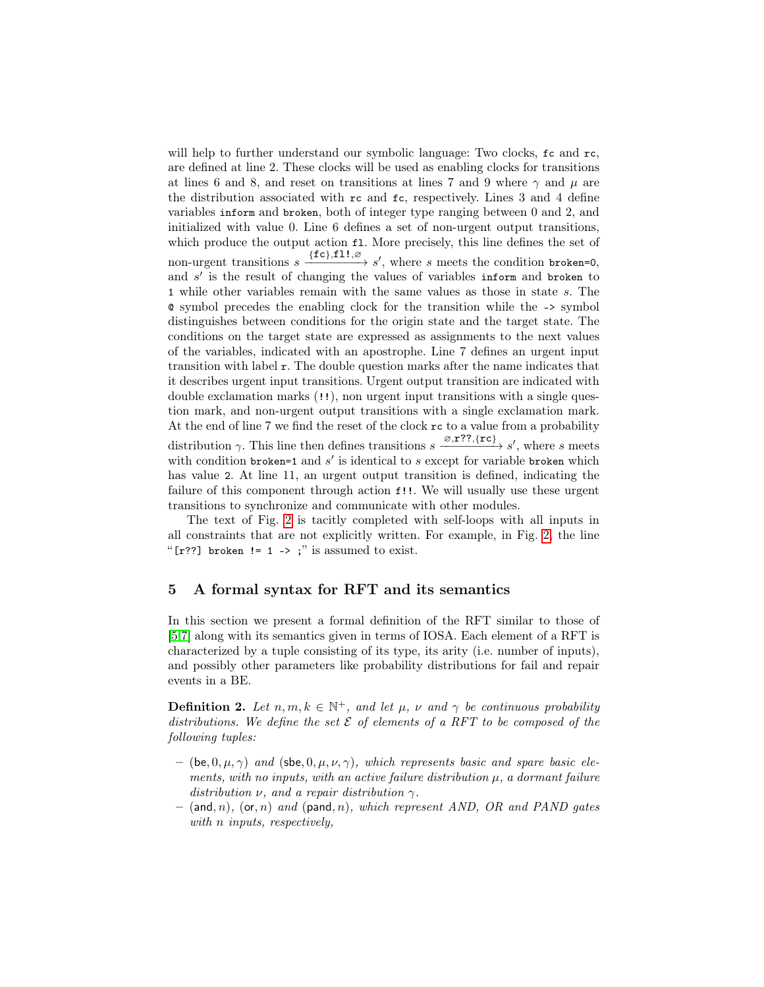will help to further understand our symbolic language: Two clocks,  $\epsilon$  and  $\epsilon$ , are defined at line 2. These clocks will be used as enabling clocks for transitions at lines 6 and 8, and reset on transitions at lines 7 and 9 where  $\gamma$  and  $\mu$  are the distribution associated with rc and fc, respectively. Lines 3 and 4 define variables inform and broken, both of integer type ranging between 0 and 2, and initialized with value 0. Line 6 defines a set of non-urgent output transitions, which produce the output action fl. More precisely, this line defines the set of non-urgent transitions  $s \xrightarrow{f[c], f1!, \varnothing} s'$ , where s meets the condition broken=0, and s' is the result of changing the values of variables inform and broken to 1 while other variables remain with the same values as those in state s. The @ symbol precedes the enabling clock for the transition while the -> symbol distinguishes between conditions for the origin state and the target state. The conditions on the target state are expressed as assignments to the next values of the variables, indicated with an apostrophe. Line 7 defines an urgent input transition with label r. The double question marks after the name indicates that it describes urgent input transitions. Urgent output transition are indicated with double exclamation marks (!!), non urgent input transitions with a single question mark, and non-urgent output transitions with a single exclamation mark. At the end of line 7 we find the reset of the clock rc to a value from a probability distribution  $\gamma$ . This line then defines transitions  $s \xrightarrow{\varnothing, \mathbf{r}^2, \{\mathbf{rc}\}} s'$ , where s meets with condition broken=1 and  $s'$  is identical to  $s$  except for variable broken which has value 2. At line 11, an urgent output transition is defined, indicating the failure of this component through action f!!. We will usually use these urgent transitions to synchronize and communicate with other modules.

The text of Fig. [2](#page-5-1) is tacitly completed with self-loops with all inputs in all constraints that are not explicitly written. For example, in Fig. [2,](#page-5-1) the line " $[r?]$  broken != 1 -> ;" is assumed to exist.

### <span id="page-6-0"></span>5 A formal syntax for RFT and its semantics

In this section we present a formal definition of the RFT similar to those of [\[5,](#page-15-5)[7\]](#page-15-7) along with its semantics given in terms of IOSA. Each element of a RFT is characterized by a tuple consisting of its type, its arity (i.e. number of inputs), and possibly other parameters like probability distributions for fail and repair events in a BE.

**Definition 2.** Let  $n, m, k \in \mathbb{N}^+$ , and let  $\mu$ ,  $\nu$  and  $\gamma$  be continuous probability distributions. We define the set  $\mathcal E$  of elements of a RFT to be composed of the following tuples:

- (be, 0,  $\mu$ ,  $\gamma$ ) and (sbe, 0,  $\mu$ ,  $\nu$ ,  $\gamma$ ), which represents basic and spare basic elements, with no inputs, with an active failure distribution  $\mu$ , a dormant failure distribution  $\nu$ , and a repair distribution  $\gamma$ .
- $-$  (and, n), (or, n) and (pand, n), which represent AND, OR and PAND gates with *n* inputs, respectively,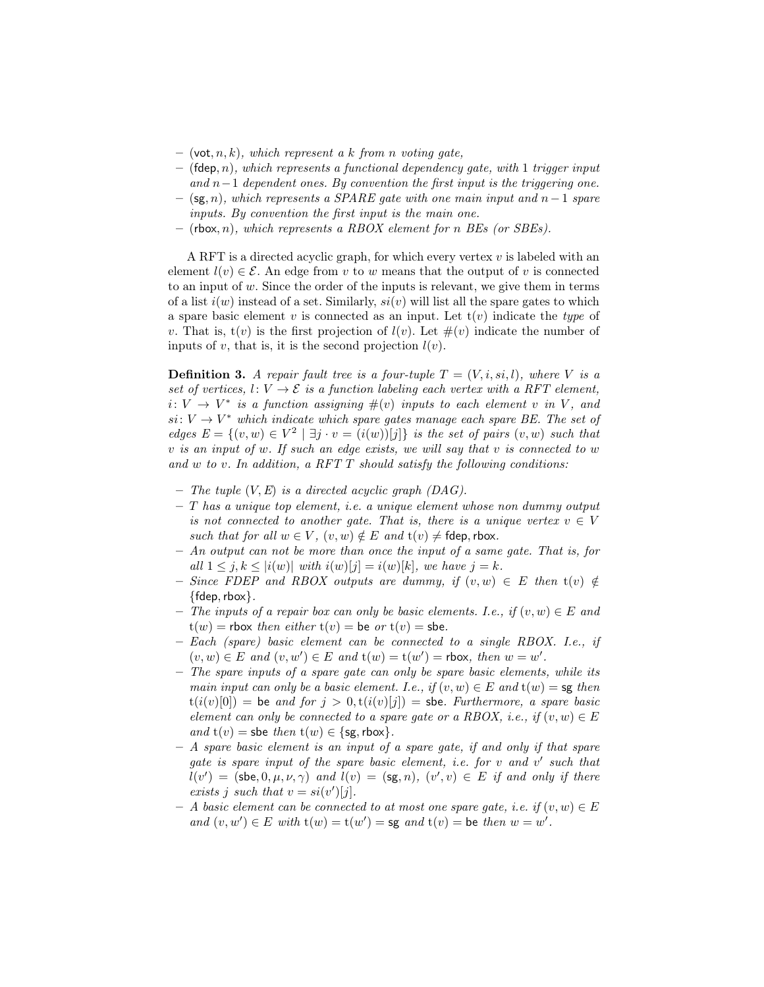- $-$  (vot, n, k), which represent a k from n voting gate,
- $-$  (fdep, n), which represents a functional dependency gate, with 1 trigger input and  $n-1$  dependent ones. By convention the first input is the triggering one.
- $-$  (sg, n), which represents a SPARE gate with one main input and n−1 spare inputs. By convention the first input is the main one.
- $-$  (rbox, n), which represents a RBOX element for n BEs (or SBEs).

A RFT is a directed acyclic graph, for which every vertex  $v$  is labeled with an element  $l(v) \in \mathcal{E}$ . An edge from v to w means that the output of v is connected to an input of  $w$ . Since the order of the inputs is relevant, we give them in terms of a list  $i(w)$  instead of a set. Similarly,  $si(v)$  will list all the spare gates to which a spare basic element v is connected as an input. Let  $t(v)$  indicate the type of v. That is,  $t(v)$  is the first projection of  $l(v)$ . Let  $\#(v)$  indicate the number of inputs of  $v$ , that is, it is the second projection  $l(v)$ .

<span id="page-7-0"></span>**Definition 3.** A repair fault tree is a four-tuple  $T = (V, i, si, l)$ , where V is a set of vertices,  $l: V \to \mathcal{E}$  is a function labeling each vertex with a RFT element,  $i: V \to V^*$  is a function assigning  $\#(v)$  inputs to each element v in V, and  $si: V \to V^*$  which indicate which spare gates manage each spare BE. The set of edges  $E = \{(v, w) \in V^2 \mid \exists j \cdot v = (i(w))[j]\}$  is the set of pairs  $(v, w)$  such that v is an input of w. If such an edge exists, we will say that  $v$  is connected to  $w$ and  $w$  to  $v$ . In addition, a RFT  $T$  should satisfy the following conditions:

- The tuple  $(V, E)$  is a directed acyclic graph  $(DAG)$ .
- $-$  T has a unique top element, i.e. a unique element whose non dummy output is not connected to another gate. That is, there is a unique vertex  $v \in V$ such that for all  $w \in V$ ,  $(v, w) \notin E$  and  $t(v) \neq$  fdep, rbox.
- $An$  output can not be more than once the input of a same gate. That is, for all  $1 \le j, k \le |i(w)|$  with  $i(w)[j] = i(w)[k]$ , we have  $j = k$ .
- Since FDEP and RBOX outputs are dummy, if  $(v, w) \in E$  then  $t(v) \notin E$  ${fdep, rbox}.$
- The inputs of a repair box can only be basic elements. I.e., if  $(v, w) \in E$  and  $t(w)$  = rbox then either  $t(v)$  = be or  $t(v)$  = sbe.
- Each (spare) basic element can be connected to a single RBOX. I.e., if  $(v, w) \in E$  and  $(v, w') \in E$  and  $t(w) = t(w') =$ rbox, then  $w = w'$ .
- The spare inputs of a spare gate can only be spare basic elements, while its main input can only be a basic element. I.e., if  $(v, w) \in E$  and  $t(w) = s$  as then  $t(i(v)[0]) =$  be and for  $j > 0, t(i(v)[j]) =$  sbe. Furthermore, a spare basic element can only be connected to a spare gate or a RBOX, i.e., if  $(v, w) \in E$ and  $t(v)$  = sbe then  $t(w) \in \{sg, rbox\}.$
- A spare basic element is an input of a spare gate, if and only if that spare gate is spare input of the spare basic element, i.e. for  $v$  and  $v'$  such that  $l(v') =$  (sbe, 0,  $\mu$ ,  $\nu$ ,  $\gamma$ ) and  $l(v) =$  (sg, n),  $(v', v) \in E$  if and only if there exists j such that  $v = si(v')[j].$
- $− A basic element can be connected to at most one spare gate, i.e. if  $(v, w) ∈ E$$ and  $(v, w') \in E$  with  $t(w) = t(w') = sg$  and  $t(v) = be$  then  $w = w'$ .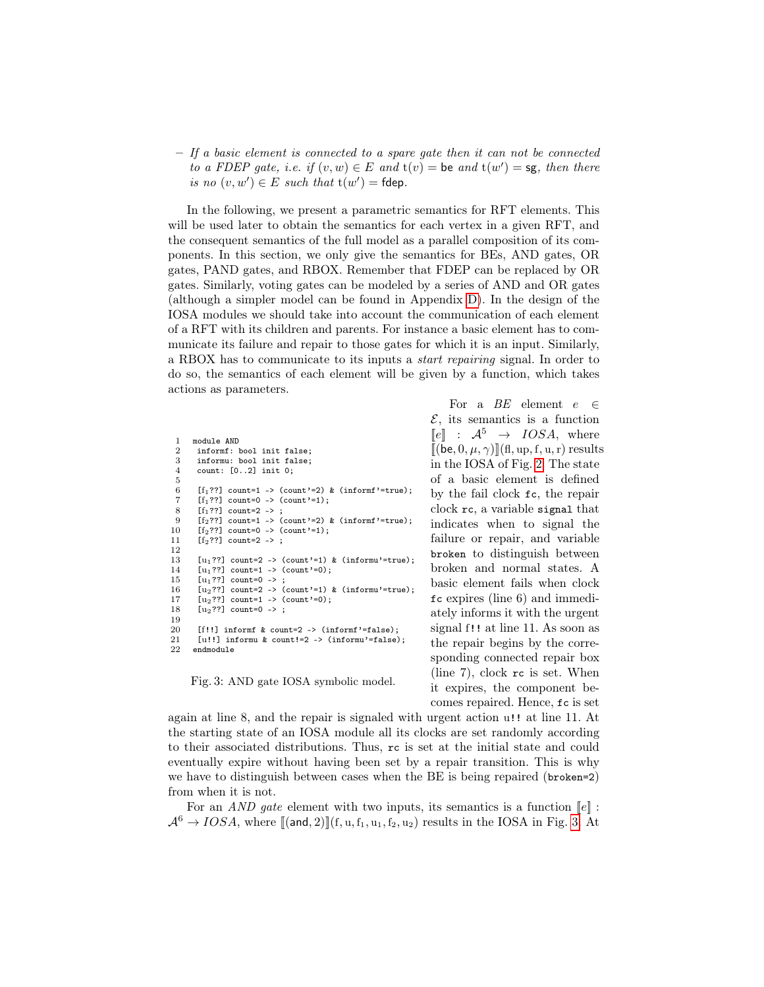$-$  If a basic element is connected to a spare gate then it can not be connected to a FDEP gate, i.e. if  $(v, w) \in E$  and  $t(v) =$  be and  $t(w') =$  sg, then there is no  $(v, w') \in E$  such that  $t(w') = f$ dep.

In the following, we present a parametric semantics for RFT elements. This will be used later to obtain the semantics for each vertex in a given RFT, and the consequent semantics of the full model as a parallel composition of its components. In this section, we only give the semantics for BEs, AND gates, OR gates, PAND gates, and RBOX. Remember that FDEP can be replaced by OR gates. Similarly, voting gates can be modeled by a series of AND and OR gates (although a simpler model can be found in Appendix [D\)](#page-21-0). In the design of the IOSA modules we should take into account the communication of each element of a RFT with its children and parents. For instance a basic element has to communicate its failure and repair to those gates for which it is an input. Similarly, a RBOX has to communicate to its inputs a start repairing signal. In order to do so, the semantics of each element will be given by a function, which takes actions as parameters.

<span id="page-8-0"></span>

| $\mathbf{1}$   | module AND                                          |
|----------------|-----------------------------------------------------|
| $\overline{2}$ | informf: bool init false;                           |
| 3              | informu: bool init false;                           |
| 4              | count: $[02]$ init $0;$                             |
| 5              |                                                     |
| 6              | $[f_1$ ??] count=1 -> (count'=2) & (informf'=true); |
| $\overline{7}$ | $[f_1$ ??] count=0 -> (count'=1);                   |
| 8              | $[f_1$ ??] count=2 -> ;                             |
| 9              | $[f_2$ ??] count=1 -> (count'=2) & (informf'=true); |
| 10             | $[f_2$ ??] count=0 -> (count'=1);                   |
| 11             | $[f_2$ ??] count=2 -> :                             |
| 12             |                                                     |
| 13             | $[u_1$ ??] count=2 -> (count'=1) & (informu'=true); |
| 14             | $[u_1$ ??] count=1 -> (count'=0);                   |
| 15             | $[u_1$ ??] count=0 ->;                              |
| 16             | $[u_2$ ??] count=2 -> (count'=1) & (informu'=true); |
| 17             | $[u_2$ ??] count=1 -> (count'=0);                   |
| 18             | $[u_2$ ??] count=0 ->;                              |
| 19             |                                                     |
| 20             | $[f!!]$ informf & count=2 -> (informf'=false);      |
| 21             | $[u!!]$ informu & count!=2 -> (informu'=false);     |
| 22             | endmodule                                           |

Fig. 3: AND gate IOSA symbolic model.

For a  $BE$  element  $e \in$  $\mathcal{E}$ , its semantics is a function  $\llbracket e \rrbracket$  :  $\mathcal{A}^5 \rightarrow IOSA$ , where  $[(\mathbf{be}, 0, \mu, \gamma)][(\mathbf{fl}, \mathbf{up}, \mathbf{f}, \mathbf{u}, \mathbf{r})]$  results in the IOSA of Fig. [2.](#page-5-1) The state of a basic element is defined by the fail clock fc, the repair clock rc, a variable signal that indicates when to signal the failure or repair, and variable broken to distinguish between broken and normal states. A basic element fails when clock fc expires (line 6) and immediately informs it with the urgent signal f!! at line 11. As soon as the repair begins by the corresponding connected repair box (line 7), clock rc is set. When it expires, the component becomes repaired. Hence, fc is set

again at line 8, and the repair is signaled with urgent action u!! at line 11. At the starting state of an IOSA module all its clocks are set randomly according to their associated distributions. Thus, rc is set at the initial state and could eventually expire without having been set by a repair transition. This is why we have to distinguish between cases when the BE is being repaired (broken=2) from when it is not.

For an *AND gate* element with two inputs, its semantics is a function  $\llbracket e \rrbracket$ :  $\mathcal{A}^6 \to IOSA$ , where  $[(\text{and}, 2)][(f, u, f_1, u_1, f_2, u_2)]$  results in the IOSA in Fig. [3.](#page-8-0) At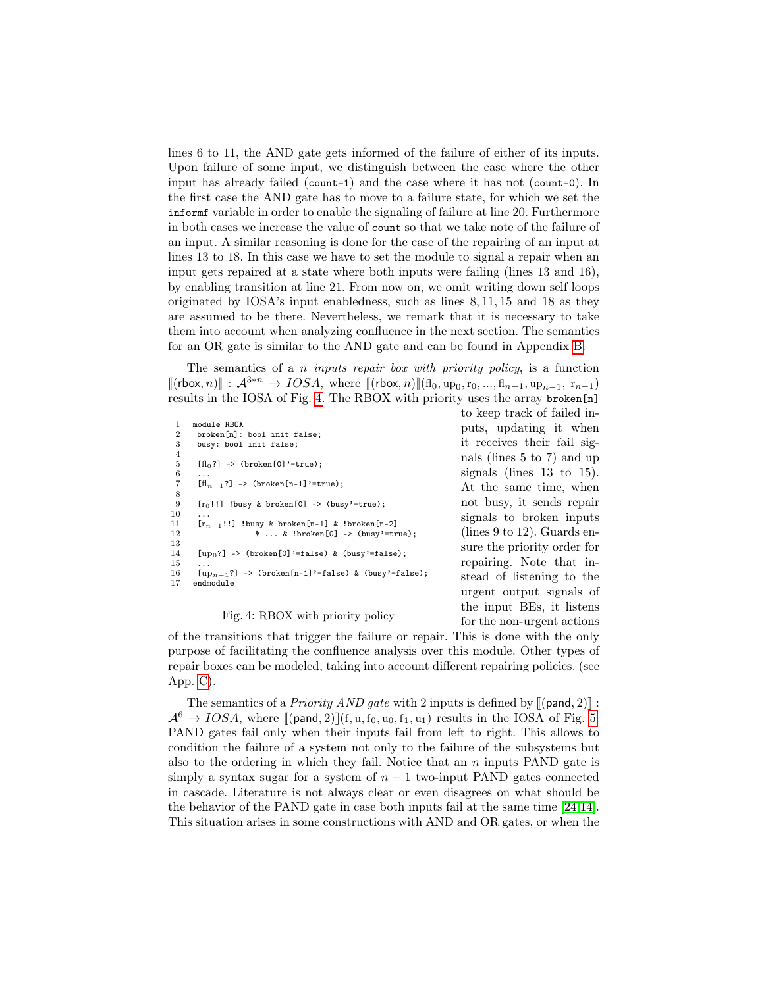lines 6 to 11, the AND gate gets informed of the failure of either of its inputs. Upon failure of some input, we distinguish between the case where the other input has already failed (count=1) and the case where it has not (count=0). In the first case the AND gate has to move to a failure state, for which we set the informf variable in order to enable the signaling of failure at line 20. Furthermore in both cases we increase the value of count so that we take note of the failure of an input. A similar reasoning is done for the case of the repairing of an input at lines 13 to 18. In this case we have to set the module to signal a repair when an input gets repaired at a state where both inputs were failing (lines 13 and 16), by enabling transition at line 21. From now on, we omit writing down self loops originated by IOSA's input enabledness, such as lines 8, 11, 15 and 18 as they are assumed to be there. Nevertheless, we remark that it is necessary to take them into account when analyzing confluence in the next section. The semantics for an OR gate is similar to the AND gate and can be found in Appendix [B.](#page-19-0)

The semantics of a n *inputs repair box with priority policy*, is a function  $[(\text{rbox}, n)] : \mathcal{A}^{3*n} \to IOSA$ , where  $[(\text{rbox}, n)](\text{fl}_0, \text{up}_0, \text{r}_0, ..., \text{fl}_{n-1}, \text{up}_{n-1}, \text{r}_{n-1})$ results in the IOSA of Fig. [4.](#page-9-0) The RBOX with priority uses the array broken[n]

```
1 module RBOX<br>2 broken[n]:
 2 broken[n]: bool init false;<br>3 busy: bool init false;
      busy: bool init false;
 4
 5 [fl_0?] \rightarrow (broken [0]'=true);
 \frac{6}{7}[fl_{n-1}?] -> (broken[n-1]'=true);
\frac{8}{9}[r_0!!] !busy & broken[0] -> (busy'=true);
\frac{10}{11}11 [r_{n-1}!!] !busy & broken[n-1] & !broken[n-2]<br>12 \& \dots \& 1broken[0] -> (busy'=tr
                     \& \dots \& \text{!broken}[0] \rightarrow (\text{busy'}=\text{true});13
       [up_0?] -> (broken[0]'=false) & (busy'=false);
15
16 \left[\text{up}_{n-1}\right] -> (broken\left[n-1\right]'=false) & (busy'=false);<br>17 endmodule
      endmodule
                                                                           to keep track of failed in-
                                                                           puts, updating it when
                                                                           it receives their fail sig-
                                                                           nals (lines 5 to 7) and up
                                                                           signals (lines 13 to 15).
                                                                           At the same time, when
                                                                           not busy, it sends repair
                                                                           signals to broken inputs
                                                                           (lines 9 to 12). Guards en-
                                                                           sure the priority order for
                                                                           repairing. Note that in-
                                                                           stead of listening to the
                                                                           urgent output signals of
```
#### Fig. 4: RBOX with priority policy

of the transitions that trigger the failure or repair. This is done with the only purpose of facilitating the confluence analysis over this module. Other types of repair boxes can be modeled, taking into account different repairing policies. (see App. [C\)](#page-19-1).

the input BEs, it listens for the non-urgent actions

The semantics of a *Priority AND gate* with 2 inputs is defined by  $[(\text{pand}, 2)]$ :  $\mathcal{A}^6 \to IOSA$ , where  $[(\text{pand}, 2)][(f, u, f_0, u_0, f_1, u_1)]$  results in the IOSA of Fig. [5.](#page-10-0) PAND gates fail only when their inputs fail from left to right. This allows to condition the failure of a system not only to the failure of the subsystems but also to the ordering in which they fail. Notice that an  $n$  inputs PAND gate is simply a syntax sugar for a system of  $n - 1$  two-input PAND gates connected in cascade. Literature is not always clear or even disagrees on what should be the behavior of the PAND gate in case both inputs fail at the same time [\[24,](#page-16-13)[14\]](#page-16-9). This situation arises in some constructions with AND and OR gates, or when the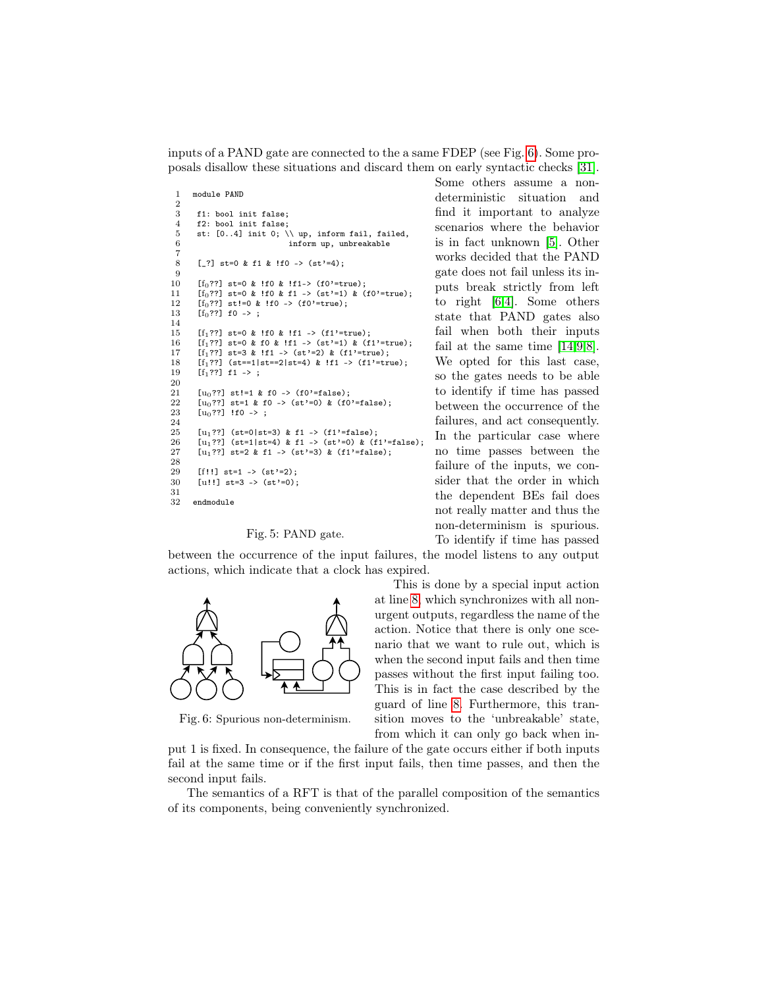inputs of a PAND gate are connected to the a same FDEP (see Fig. [6\)](#page-10-1). Some proposals disallow these situations and discard them on early syntactic checks [\[31\]](#page-17-6).

```
1 module PAND
 \frac{2}{3}3 f1: bool init false;<br>4 f2: bool init false;
 4 f2: bool init false;<br>5 st: [0..4] init 0: \
 5 st: [0..4] init 0; \setminus \psi, inform fail, failed, 6 inform up. unbreakable
                                        inform up, unbreakable
  7
 8 [_?] st=0 & f1 & !f0 -> (st'=4);
\frac{9}{10}10 [f_0??] st=0 & !f0 & !f1-> (f0'=true);<br>11 [f_0??] st=0 & !f0 & f1 -> (st'=1) & (
         [f_0??] st=0 & !f0 & f1 -> (st'=1) & (f0'=true);
12 [f_0^o??] st!=0 & !f0 -> (f0'=true);<br>13 [f_0??] f0 -> :
         [f_0??] f0 ->;
14
15 [f_1??] st=0 & !f0 & !f1 -> (f1'=true);<br>16 [f_1??] st=0 & f0 & !f1 -> (st'=1) & (f
         [f_1??] st=0 & f0 & !f1 -> (st'=1) & (f1'=true);
17 [f_1??] st=3 & !f1 -> (st'=2) & (f1'=true);<br>18 [f_1??] (st==1|st==2|st=4) & !f1 -> (f1'=true)
18 [f_1??] (st==1|st==2|st=4) & !f1 -> (f1'=true);<br>19 [f_1??] f1 -> :
         [f_1??] f1 -> ;
20
21 [u_0??] st!=1 & f0 -> (f0'=false);<br>22 [u_0??] st=1 & f0 -> (st'=0) & (f0
22 [u_0??] st=1 & f0 -> (st'=0) & (f0'=false);<br>23 [u_0??] !f0 -> :
         [u_0??] !f0 ->;
24
25 [u_1??] (st=0|st=3) & f1 -> (f1'=false);<br>26 [u_1??] (st=1|st=4) & f1 -> (st'=0) & (f
26 \begin{bmatrix} \text{u}_1?? \end{bmatrix} (st=1|st=4) & f1 -> (st'=0) & (f1'=false);<br>27 \begin{bmatrix} \text{u}_1?? \end{bmatrix} st=2 & f1 -> (st'=3) & (f1'=false);
         [u_1??] st=2 & f1 -> (st'=3) & (f1'=false);
28
29 [f!!] st=1 -> (st'=2);
30 [u!!] st=3 -> (st'=0);
31
32 endmodule
```
#### Fig. 5: PAND gate.

between the occurrence of the input failures, the model listens to any output actions, which indicate that a clock has expired.

<span id="page-10-1"></span>

Fig. 6: Spurious non-determinism.

Some others assume a nondeterministic situation and find it important to analyze scenarios where the behavior is in fact unknown [\[5\]](#page-15-5). Other works decided that the PAND gate does not fail unless its inputs break strictly from left to right [\[6,](#page-15-0)[4\]](#page-15-3). Some others state that PAND gates also fail when both their inputs fail at the same time [\[14,](#page-16-9)[9](#page-15-8)[,8\]](#page-15-9). We opted for this last case, so the gates needs to be able to identify if time has passed between the occurrence of the failures, and act consequently. In the particular case where no time passes between the failure of the inputs, we consider that the order in which the dependent BEs fail does not really matter and thus the non-determinism is spurious. To identify if time has passed

This is done by a special input action at line [8,](#page-10-2) which synchronizes with all nonurgent outputs, regardless the name of the action. Notice that there is only one scenario that we want to rule out, which is when the second input fails and then time passes without the first input failing too. This is in fact the case described by the guard of line [8.](#page-10-2) Furthermore, this transition moves to the 'unbreakable' state, from which it can only go back when in-

put 1 is fixed. In consequence, the failure of the gate occurs either if both inputs fail at the same time or if the first input fails, then time passes, and then the second input fails.

<span id="page-10-3"></span>The semantics of a RFT is that of the parallel composition of the semantics of its components, being conveniently synchronized.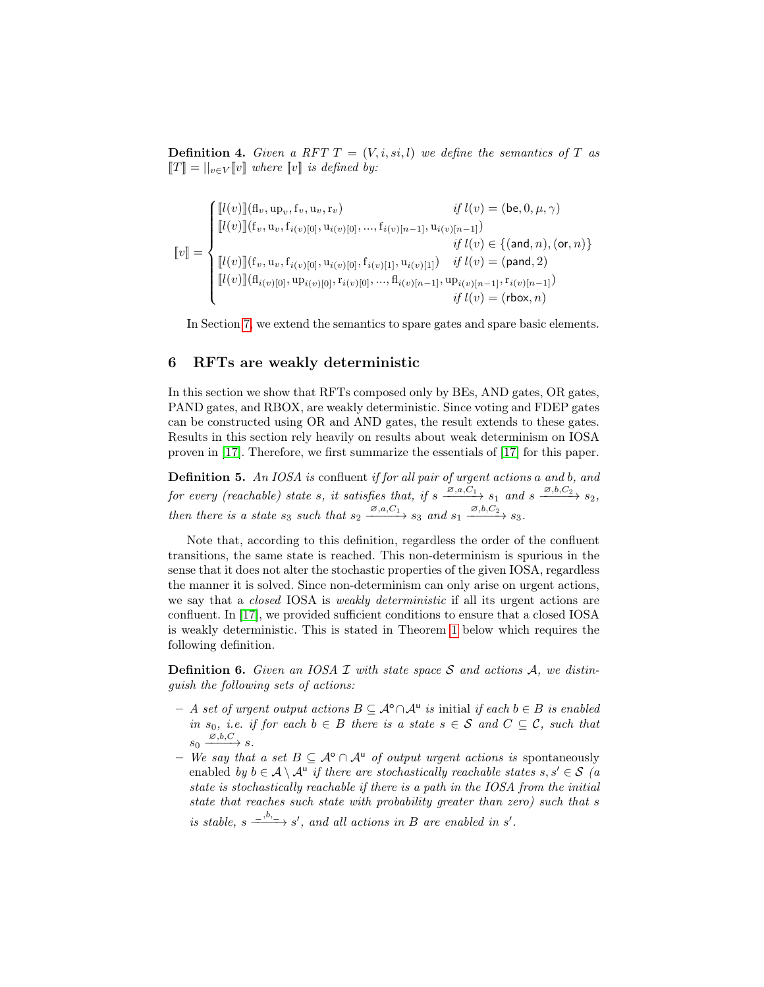**Definition 4.** Given a RFT  $T = (V, i, si, l)$  we define the semantics of T as  $\llbracket T \rrbracket = ||_{v \in V} \llbracket v \rrbracket$  where  $\llbracket v \rrbracket$  is defined by:

[[v]] = [[l(v)]](flv, up<sup>v</sup> , fv, uv, rv) if l(v) = (be, 0, µ, γ) [[l(v)]](fv, uv, fi(v)[0], ui(v)[0], ..., fi(v)[n−1], ui(v)[n−1]) if l(v) ∈ {(and, n),(or, n)} [[l(v)]](fv, uv, fi(v)[0], ui(v)[0], fi(v)[1], ui(v)[1]) if l(v) = (pand, 2) [[l(v)]](fli(v)[0], upi(v)[0], ri(v)[0], ..., fli(v)[n−1], upi(v)[n−1], ri(v)[n−1]) if l(v) = (rbox, n)

In Section [7,](#page-13-0) we extend the semantics to spare gates and spare basic elements.

#### 6 RFTs are weakly deterministic

In this section we show that RFTs composed only by BEs, AND gates, OR gates, PAND gates, and RBOX, are weakly deterministic. Since voting and FDEP gates can be constructed using OR and AND gates, the result extends to these gates. Results in this section rely heavily on results about weak determinism on IOSA proven in [\[17\]](#page-16-8). Therefore, we first summarize the essentials of [\[17\]](#page-16-8) for this paper.

<span id="page-11-0"></span>Definition 5. An IOSA is confluent if for all pair of urgent actions a and b, and for every (reachable) state s, it satisfies that, if  $s \xrightarrow{\emptyset, a, C_1} s_1$  and  $s \xrightarrow{\emptyset, b, C_2} s_2$ , then there is a state  $s_3$  such that  $s_2 \xrightarrow{\varnothing, a, C_1} s_3$  and  $s_1 \xrightarrow{\varnothing, b, C_2} s_3$ .

Note that, according to this definition, regardless the order of the confluent transitions, the same state is reached. This non-determinism is spurious in the sense that it does not alter the stochastic properties of the given IOSA, regardless the manner it is solved. Since non-determinism can only arise on urgent actions, we say that a *closed* IOSA is *weakly deterministic* if all its urgent actions are confluent. In [\[17\]](#page-16-8), we provided sufficient conditions to ensure that a closed IOSA is weakly deterministic. This is stated in Theorem [1](#page-12-0) below which requires the following definition.

**Definition 6.** Given an IOSA  $I$  with state space  $S$  and actions  $A$ , we distinguish the following sets of actions:

- $A$  set of urgent output actions  $B \subseteq \mathcal{A}^{\circ} \cap \mathcal{A}^{\mathsf{u}}$  is initial if each  $b \in B$  is enabled in s<sub>0</sub>, i.e. if for each  $b \in B$  there is a state  $s \in S$  and  $C \subseteq C$ , such that  $s_0 \xrightarrow{\varnothing, b, C} s.$
- We say that a set  $B \subseteq \mathcal{A}^{\circ} \cap \mathcal{A}^{\mathsf{u}}$  of output urgent actions is spontaneously enabled by  $b \in \mathcal{A} \setminus \mathcal{A}^{\mathsf{u}}$  if there are stochastically reachable states  $s, s' \in \mathcal{S}$  (a state is stochastically reachable if there is a path in the IOSA from the initial state that reaches such state with probability greater than zero) such that s

is stable,  $s \xrightarrow{b, b_{-}} s'$ , and all actions in B are enabled in s'.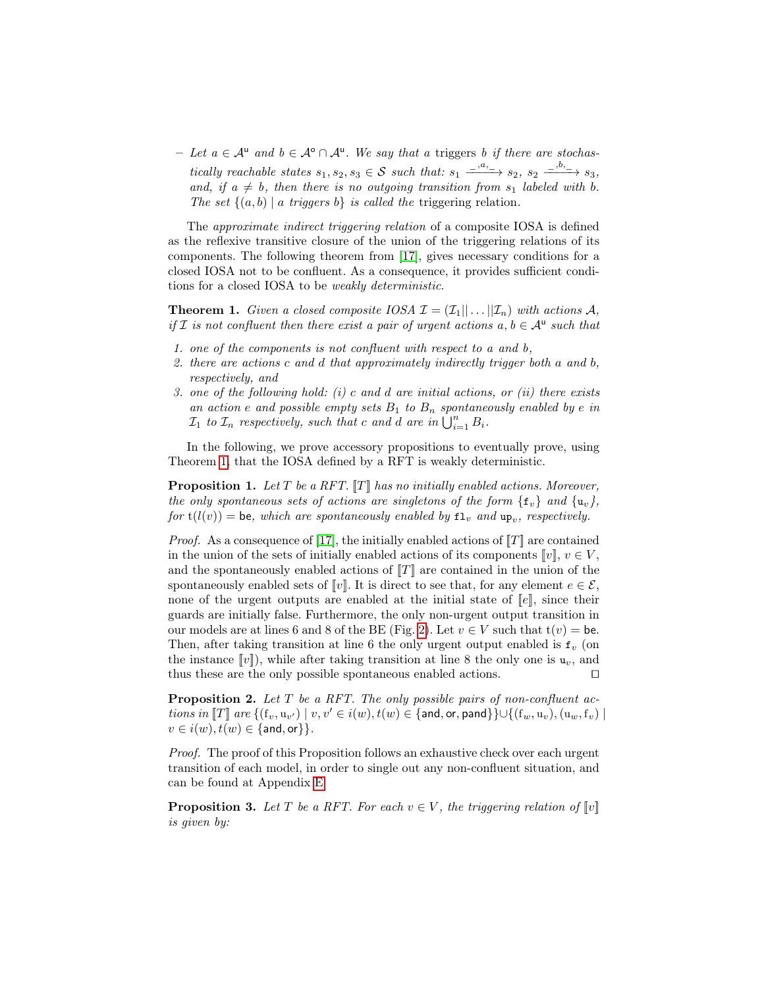$-$  Let  $a \in \mathcal{A}^{\mathsf{u}}$  and  $b \in \mathcal{A}^{\mathsf{o}} \cap \mathcal{A}^{\mathsf{u}}$ . We say that a triggers b if there are stochastically reachable states  $s_1, s_2, s_3 \in S$  such that:  $s_1 \xrightarrow{a_1, a_2, a_3} s_2, s_3 \xrightarrow{b_2, b_3} s_3$ , and, if  $a \neq b$ , then there is no outgoing transition from  $s_1$  labeled with b. The set  $\{(a, b) \mid a \text{ triggers } b\}$  is called the triggering relation.

The approximate indirect triggering relation of a composite IOSA is defined as the reflexive transitive closure of the union of the triggering relations of its components. The following theorem from [\[17\]](#page-16-8), gives necessary conditions for a closed IOSA not to be confluent. As a consequence, it provides sufficient conditions for a closed IOSA to be weakly deterministic.

<span id="page-12-0"></span>**Theorem 1.** Given a closed composite IOSA  $\mathcal{I} = (\mathcal{I}_1|| \dots || \mathcal{I}_n)$  with actions A, if I is not confluent then there exist a pair of urgent actions  $a, b \in A^u$  such that

- 1. one of the components is not confluent with respect to a and b,
- 2. there are actions c and d that approximately indirectly trigger both a and b, respectively, and
- 3. one of the following hold: (i) c and d are initial actions, or (ii) there exists an action e and possible empty sets  $B_1$  to  $B_n$  spontaneously enabled by e in  $\mathcal{I}_1$  to  $\mathcal{I}_n$  respectively, such that c and d are in  $\bigcup_{i=1}^n B_i$ .

In the following, we prove accessory propositions to eventually prove, using Theorem [1,](#page-12-0) that the IOSA defined by a RFT is weakly deterministic.

<span id="page-12-1"></span>**Proposition 1.** Let  $T$  be a RFT.  $\llbracket T \rrbracket$  has no initially enabled actions. Moreover, the only spontaneous sets of actions are singletons of the form  $\{f_v\}$  and  $\{u_v\}$ , for  $t(l(v)) =$  be, which are spontaneously enabled by  $\mathbf{f}_v$  and  $\mathbf{u}_{p_v}$ , respectively.

*Proof.* As a consequence of [\[17\]](#page-16-8), the initially enabled actions of  $T$ ] are contained in the union of the sets of initially enabled actions of its components  $[v], v \in V$ , and the spontaneously enabled actions of  $T$  are contained in the union of the spontaneously enabled sets of  $\llbracket v \rrbracket$ . It is direct to see that, for any element  $e \in \mathcal{E}$ , none of the urgent outputs are enabled at the initial state of  $\llbracket e \rrbracket$ , since their guards are initially false. Furthermore, the only non-urgent output transition in our models are at lines 6 and 8 of the BE (Fig. [2\)](#page-5-1). Let  $v \in V$  such that  $t(v) = be$ . Then, after taking transition at line 6 the only urgent output enabled is  $f_v$  (on the instance  $\llbracket v \rrbracket$ ), while after taking transition at line 8 the only one is  $u_v$ , and thus these are the only possible spontaneous enabled actions.  $\square$ 

<span id="page-12-2"></span>**Proposition 2.** Let  $T$  be a RFT. The only possible pairs of non-confluent actions in  $\llbracket T \rrbracket$  are  $\{(\mathbf{f}_v, \mathbf{u}_{v'}) \mid v, v' \in i(w), t(w) \in \{\textsf{and}, \textsf{or}, \textsf{pand}\}\} \cup \{(\mathbf{f}_w, \mathbf{u}_v), (\mathbf{u}_w, \mathbf{f}_v) \mid$  $v \in i(w), t(w) \in \{\text{and}, \text{or}\}\}.$ 

Proof. The proof of this Proposition follows an exhaustive check over each urgent transition of each model, in order to single out any non-confluent situation, and can be found at Appendix [E](#page-21-1)

<span id="page-12-3"></span>**Proposition 3.** Let T be a RFT. For each  $v \in V$ , the triggering relation of  $\llbracket v \rrbracket$ is given by: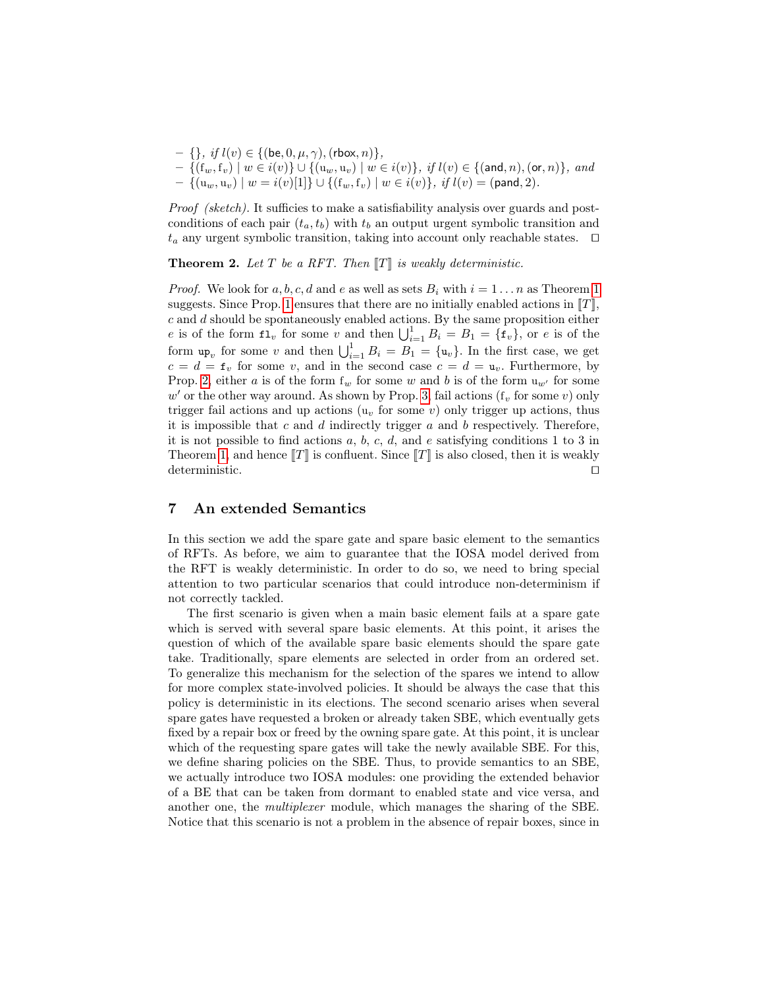- $\{\}, \text{ if } l(v) \in \{(\mathsf{be}, 0, \mu, \gamma), (\mathsf{rbox}, n)\},\$
- $\{({\rm f}_w, {\rm f}_v) \mid w \in i(v)\} \cup \{({\rm u}_w, {\rm u}_v) \mid w \in i(v)\}, \; \textit{if} \; l(v) \in \{(\textsf{and}, n), (\textsf{or}, n)\}, \; \textit{and} \}$  $- \{(\mathrm{u}_w, \mathrm{u}_v) \mid w = i(v)[1]\} \cup \{(\mathrm{f}_w, \mathrm{f}_v) \mid w \in i(v)\}, \; \textit{if} \; l(v) = (\textsf{pand}, 2).$

Proof (sketch). It sufficies to make a satisfiability analysis over guards and postconditions of each pair  $(t_a, t_b)$  with  $t_b$  an output urgent symbolic transition and  $t_a$  any urgent symbolic transition, taking into account only reachable states.  $\Box$ 

**Theorem 2.** Let T be a RFT. Then  $\llbracket T \rrbracket$  is weakly deterministic.

*Proof.* We look for a, b, c, d and e as well as sets  $B_i$  with  $i = 1 \ldots n$  $i = 1 \ldots n$  $i = 1 \ldots n$  as Theorem 1 suggests. Since Prop. [1](#page-12-1) ensures that there are no initially enabled actions in  $\llbracket T \rrbracket$ ,  $c$  and  $d$  should be spontaneously enabled actions. By the same proposition either e is of the form  $\mathbf{1}_v$  for some v and then  $\bigcup_{i=1}^1 B_i = B_1 = {\mathbf{f}_v}$ , or e is of the form  $\mathbf{u}_{\mathbf{p}_v}$  for some v and then  $\bigcup_{i=1}^1 B_i = B_1 = {\mathbf{u}_v}$ . In the first case, we get  $c = d = \mathbf{f}_v$  for some v, and in the second case  $c = d = \mathbf{u}_v$ . Furthermore, by Prop. [2,](#page-12-2) either a is of the form  $f_w$  for some w and b is of the form  $u_{w'}$  for some  $w'$  or the other way around. As shown by Prop. [3,](#page-12-3) fail actions ( $f_v$  for some v) only trigger fail actions and up actions  $(u<sub>v</sub>$  for some v) only trigger up actions, thus it is impossible that  $c$  and  $d$  indirectly trigger  $a$  and  $b$  respectively. Therefore, it is not possible to find actions a, b, c, d, and e satisfying conditions 1 to 3 in Theorem [1,](#page-12-0) and hence  $T$  is confluent. Since  $T$  is also closed, then it is weakly deterministic.  $\Box$ 

#### <span id="page-13-0"></span>7 An extended Semantics

In this section we add the spare gate and spare basic element to the semantics of RFTs. As before, we aim to guarantee that the IOSA model derived from the RFT is weakly deterministic. In order to do so, we need to bring special attention to two particular scenarios that could introduce non-determinism if not correctly tackled.

The first scenario is given when a main basic element fails at a spare gate which is served with several spare basic elements. At this point, it arises the question of which of the available spare basic elements should the spare gate take. Traditionally, spare elements are selected in order from an ordered set. To generalize this mechanism for the selection of the spares we intend to allow for more complex state-involved policies. It should be always the case that this policy is deterministic in its elections. The second scenario arises when several spare gates have requested a broken or already taken SBE, which eventually gets fixed by a repair box or freed by the owning spare gate. At this point, it is unclear which of the requesting spare gates will take the newly available SBE. For this, we define sharing policies on the SBE. Thus, to provide semantics to an SBE, we actually introduce two IOSA modules: one providing the extended behavior of a BE that can be taken from dormant to enabled state and vice versa, and another one, the multiplexer module, which manages the sharing of the SBE. Notice that this scenario is not a problem in the absence of repair boxes, since in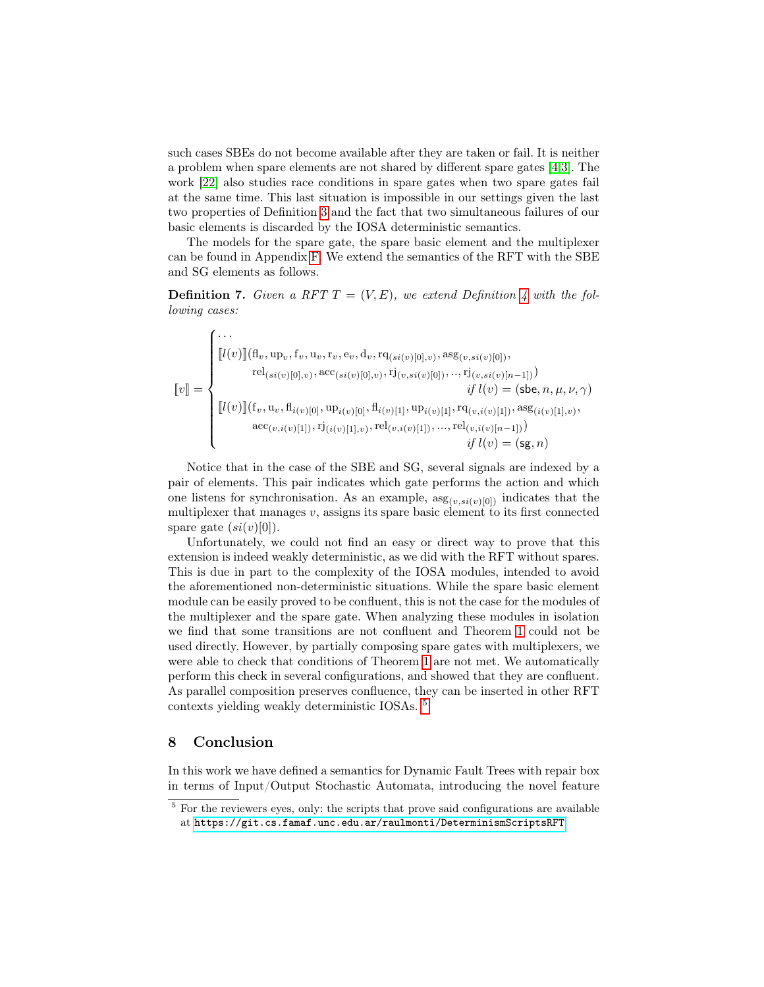such cases SBEs do not become available after they are taken or fail. It is neither a problem when spare elements are not shared by different spare gates [\[4,](#page-15-3)[3\]](#page-15-2). The work [\[22\]](#page-16-2) also studies race conditions in spare gates when two spare gates fail at the same time. This last situation is impossible in our settings given the last two properties of Definition [3](#page-7-0) and the fact that two simultaneous failures of our basic elements is discarded by the IOSA deterministic semantics.

The models for the spare gate, the spare basic element and the multiplexer can be found in Appendix [F.](#page-22-0) We extend the semantics of the RFT with the SBE and SG elements as follows.

**Definition 7.** Given a RFT  $T = (V, E)$ , we extend Definition [4](#page-10-3) with the following cases:

$$
\llbracket v \rrbracket = \begin{cases} \cdots \\ \llbracket l(v) \rrbracket (\mathbf{f}_v, \mathbf{u}_v, \mathbf{f}_v, \mathbf{u}_v, \mathbf{r}_v, \mathbf{e}_v, \mathbf{d}_v, \mathbf{r}\mathbf{q}_{(si(v)[0], v)}, \mathbf{a}\mathbf{s}\mathbf{g}_{(v, si(v)[0])}, \\ \qquad \qquad \mathbf{r}\mathbf{e}_{(si(v)[0], v)}, \mathbf{a}\mathbf{c}\mathbf{c}_{(si(v)[0], v)}, \mathbf{r}\mathbf{j}_{(v, si(v)[0])}, \ldots, \mathbf{r}\mathbf{j}_{(v, si(v)[n-1])}) \\ \qquad \qquad \qquad \qquad if \ l(v) = (\mathbf{s}\mathbf{b}\mathbf{e}, n, \mu, \nu, \gamma) \\ \llbracket l(v) \rrbracket (\mathbf{f}_v, \mathbf{u}_v, \mathbf{f}_{i(v)[0]}, \mathbf{u}_{i(v)[0]}, \mathbf{f}_{i(v)[1]}, \mathbf{u}_{i(v)[1]}, \mathbf{r}\mathbf{q}_{(v,i(v)[1]), \mathbf{a}\mathbf{s}\mathbf{g}_{(i(v)[1], v)}}, \\ \qquad \qquad \qquad \qquad \qquad \qquad \qquad \qquad \qquad \qquad \qquad if \ l(v) = (\mathbf{s}\mathbf{g}, n) \\ \end{cases}
$$

Notice that in the case of the SBE and SG, several signals are indexed by a pair of elements. This pair indicates which gate performs the action and which one listens for synchronisation. As an example,  $\arg_{(v,si(v)[0])}$  indicates that the multiplexer that manages  $v$ , assigns its spare basic element to its first connected spare gate  $(si(v)[0])$ .

Unfortunately, we could not find an easy or direct way to prove that this extension is indeed weakly deterministic, as we did with the RFT without spares. This is due in part to the complexity of the IOSA modules, intended to avoid the aforementioned non-deterministic situations. While the spare basic element module can be easily proved to be confluent, this is not the case for the modules of the multiplexer and the spare gate. When analyzing these modules in isolation we find that some transitions are not confluent and Theorem [1](#page-12-0) could not be used directly. However, by partially composing spare gates with multiplexers, we were able to check that conditions of Theorem [1](#page-12-0) are not met. We automatically perform this check in several configurations, and showed that they are confluent. As parallel composition preserves confluence, they can be inserted in other RFT contexts yielding weakly deterministic IOSAs. [5](#page-14-0)

#### 8 Conclusion

In this work we have defined a semantics for Dynamic Fault Trees with repair box in terms of Input/Output Stochastic Automata, introducing the novel feature

<span id="page-14-0"></span><sup>&</sup>lt;sup>5</sup> For the reviewers eyes, only: the scripts that prove said configurations are available at <https://git.cs.famaf.unc.edu.ar/raulmonti/DeterminismScriptsRFT>.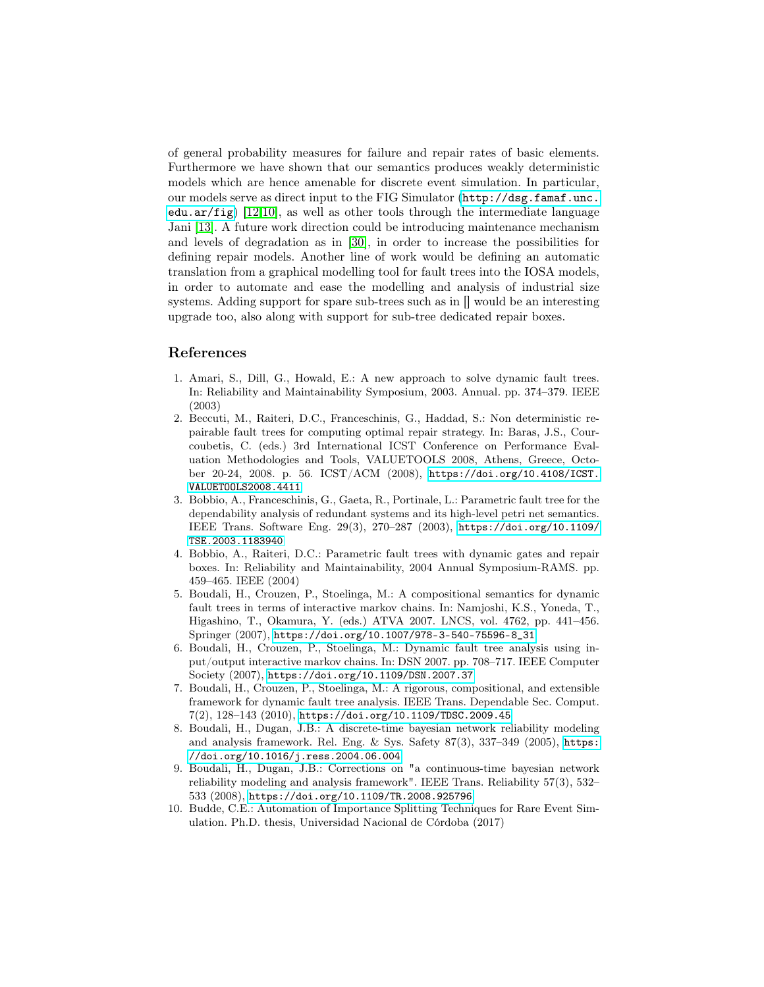of general probability measures for failure and repair rates of basic elements. Furthermore we have shown that our semantics produces weakly deterministic models which are hence amenable for discrete event simulation. In particular, our models serve as direct input to the FIG Simulator ([http://dsg.famaf.unc.](http://dsg.famaf.unc.edu.ar/fig) [edu.ar/fig](http://dsg.famaf.unc.edu.ar/fig))  $[12,10]$  $[12,10]$ , as well as other tools through the intermediate language Jani [\[13\]](#page-16-14). A future work direction could be introducing maintenance mechanism and levels of degradation as in [\[30\]](#page-17-9), in order to increase the possibilities for defining repair models. Another line of work would be defining an automatic translation from a graphical modelling tool for fault trees into the IOSA models, in order to automate and ease the modelling and analysis of industrial size systems. Adding support for spare sub-trees such as in [] would be an interesting upgrade too, also along with support for sub-tree dedicated repair boxes.

## References

- <span id="page-15-1"></span>1. Amari, S., Dill, G., Howald, E.: A new approach to solve dynamic fault trees. In: Reliability and Maintainability Symposium, 2003. Annual. pp. 374–379. IEEE (2003)
- <span id="page-15-4"></span>2. Beccuti, M., Raiteri, D.C., Franceschinis, G., Haddad, S.: Non deterministic repairable fault trees for computing optimal repair strategy. In: Baras, J.S., Courcoubetis, C. (eds.) 3rd International ICST Conference on Performance Evaluation Methodologies and Tools, VALUETOOLS 2008, Athens, Greece, October 20-24, 2008. p. 56. ICST/ACM (2008), [https://doi.org/10.4108/ICST.](https://doi.org/10.4108/ICST.VALUETOOLS2008.4411) [VALUETOOLS2008.4411](https://doi.org/10.4108/ICST.VALUETOOLS2008.4411)
- <span id="page-15-2"></span>3. Bobbio, A., Franceschinis, G., Gaeta, R., Portinale, L.: Parametric fault tree for the dependability analysis of redundant systems and its high-level petri net semantics. IEEE Trans. Software Eng. 29(3), 270–287 (2003), [https://doi.org/10.1109/](https://doi.org/10.1109/TSE.2003.1183940) [TSE.2003.1183940](https://doi.org/10.1109/TSE.2003.1183940)
- <span id="page-15-3"></span>4. Bobbio, A., Raiteri, D.C.: Parametric fault trees with dynamic gates and repair boxes. In: Reliability and Maintainability, 2004 Annual Symposium-RAMS. pp. 459–465. IEEE (2004)
- <span id="page-15-5"></span>5. Boudali, H., Crouzen, P., Stoelinga, M.: A compositional semantics for dynamic fault trees in terms of interactive markov chains. In: Namjoshi, K.S., Yoneda, T., Higashino, T., Okamura, Y. (eds.) ATVA 2007. LNCS, vol. 4762, pp. 441–456. Springer (2007), [https://doi.org/10.1007/978-3-540-75596-8\\_31](https://doi.org/10.1007/978-3-540-75596-8_31)
- <span id="page-15-0"></span>6. Boudali, H., Crouzen, P., Stoelinga, M.: Dynamic fault tree analysis using input/output interactive markov chains. In: DSN 2007. pp. 708–717. IEEE Computer Society (2007), <https://doi.org/10.1109/DSN.2007.37>
- <span id="page-15-7"></span>7. Boudali, H., Crouzen, P., Stoelinga, M.: A rigorous, compositional, and extensible framework for dynamic fault tree analysis. IEEE Trans. Dependable Sec. Comput. 7(2), 128–143 (2010), <https://doi.org/10.1109/TDSC.2009.45>
- <span id="page-15-9"></span>8. Boudali, H., Dugan, J.B.: A discrete-time bayesian network reliability modeling and analysis framework. Rel. Eng. & Sys. Safety 87(3), 337–349 (2005), [https:](https://doi.org/10.1016/j.ress.2004.06.004) [//doi.org/10.1016/j.ress.2004.06.004](https://doi.org/10.1016/j.ress.2004.06.004)
- <span id="page-15-8"></span>9. Boudali, H., Dugan, J.B.: Corrections on "a continuous-time bayesian network reliability modeling and analysis framework". IEEE Trans. Reliability 57(3), 532– 533 (2008), <https://doi.org/10.1109/TR.2008.925796>
- <span id="page-15-6"></span>10. Budde, C.E.: Automation of Importance Splitting Techniques for Rare Event Simulation. Ph.D. thesis, Universidad Nacional de Córdoba (2017)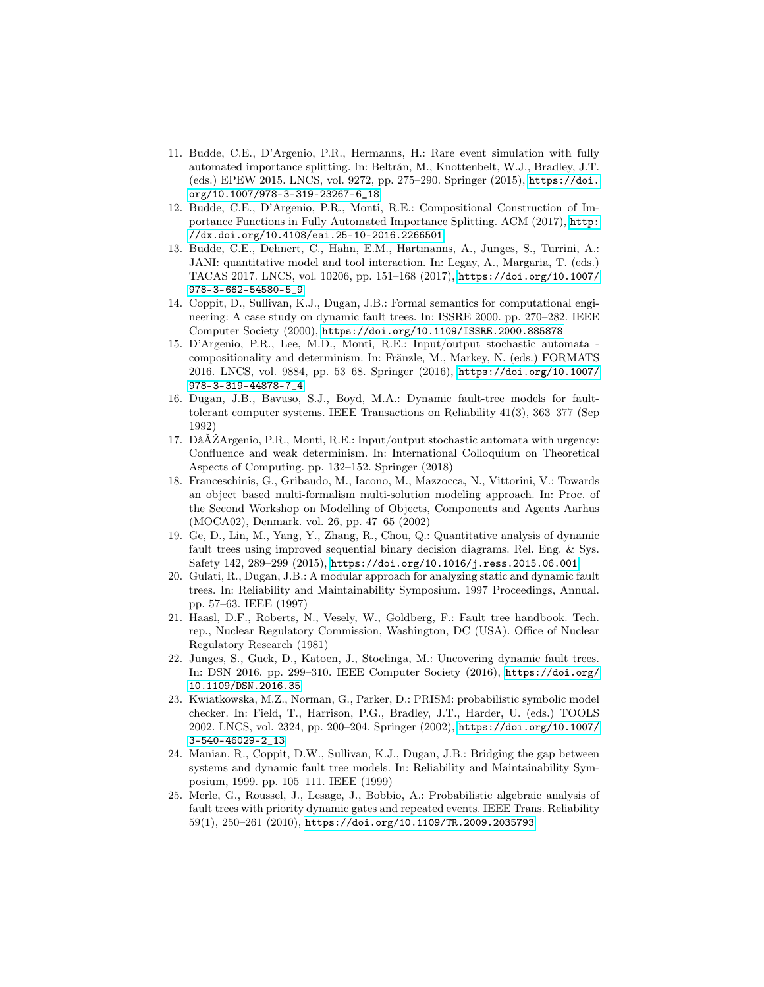- <span id="page-16-10"></span>11. Budde, C.E., D'Argenio, P.R., Hermanns, H.: Rare event simulation with fully automated importance splitting. In: Beltrán, M., Knottenbelt, W.J., Bradley, J.T. (eds.) EPEW 2015. LNCS, vol. 9272, pp. 275–290. Springer (2015), [https://doi.](https://doi.org/10.1007/978-3-319-23267-6_18) [org/10.1007/978-3-319-23267-6\\_18](https://doi.org/10.1007/978-3-319-23267-6_18)
- <span id="page-16-11"></span>12. Budde, C.E., D'Argenio, P.R., Monti, R.E.: Compositional Construction of Importance Functions in Fully Automated Importance Splitting. ACM (2017), [http:](http://dx.doi.org/10.4108/eai.25-10-2016.2266501) [//dx.doi.org/10.4108/eai.25-10-2016.2266501](http://dx.doi.org/10.4108/eai.25-10-2016.2266501)
- <span id="page-16-14"></span>13. Budde, C.E., Dehnert, C., Hahn, E.M., Hartmanns, A., Junges, S., Turrini, A.: JANI: quantitative model and tool interaction. In: Legay, A., Margaria, T. (eds.) TACAS 2017. LNCS, vol. 10206, pp. 151–168 (2017), [https://doi.org/10.1007/](https://doi.org/10.1007/978-3-662-54580-5_9) [978-3-662-54580-5\\_9](https://doi.org/10.1007/978-3-662-54580-5_9)
- <span id="page-16-9"></span>14. Coppit, D., Sullivan, K.J., Dugan, J.B.: Formal semantics for computational engineering: A case study on dynamic fault trees. In: ISSRE 2000. pp. 270–282. IEEE Computer Society (2000), <https://doi.org/10.1109/ISSRE.2000.885878>
- <span id="page-16-7"></span>15. D'Argenio, P.R., Lee, M.D., Monti, R.E.: Input/output stochastic automata compositionality and determinism. In: Fränzle, M., Markey, N. (eds.) FORMATS 2016. LNCS, vol. 9884, pp. 53–68. Springer (2016), [https://doi.org/10.1007/](https://doi.org/10.1007/978-3-319-44878-7_4) [978-3-319-44878-7\\_4](https://doi.org/10.1007/978-3-319-44878-7_4)
- <span id="page-16-1"></span>16. Dugan, J.B., Bavuso, S.J., Boyd, M.A.: Dynamic fault-tree models for faulttolerant computer systems. IEEE Transactions on Reliability 41(3), 363–377 (Sep 1992)
- <span id="page-16-8"></span>17. DâĂŹArgenio, P.R., Monti, R.E.: Input/output stochastic automata with urgency: Confluence and weak determinism. In: International Colloquium on Theoretical Aspects of Computing. pp. 132–152. Springer (2018)
- <span id="page-16-6"></span>18. Franceschinis, G., Gribaudo, M., Iacono, M., Mazzocca, N., Vittorini, V.: Towards an object based multi-formalism multi-solution modeling approach. In: Proc. of the Second Workshop on Modelling of Objects, Components and Agents Aarhus (MOCA02), Denmark. vol. 26, pp. 47–65 (2002)
- <span id="page-16-3"></span>19. Ge, D., Lin, M., Yang, Y., Zhang, R., Chou, Q.: Quantitative analysis of dynamic fault trees using improved sequential binary decision diagrams. Rel. Eng. & Sys. Safety 142, 289–299 (2015), <https://doi.org/10.1016/j.ress.2015.06.001>
- <span id="page-16-5"></span>20. Gulati, R., Dugan, J.B.: A modular approach for analyzing static and dynamic fault trees. In: Reliability and Maintainability Symposium. 1997 Proceedings, Annual. pp. 57–63. IEEE (1997)
- <span id="page-16-0"></span>21. Haasl, D.F., Roberts, N., Vesely, W., Goldberg, F.: Fault tree handbook. Tech. rep., Nuclear Regulatory Commission, Washington, DC (USA). Office of Nuclear Regulatory Research (1981)
- <span id="page-16-2"></span>22. Junges, S., Guck, D., Katoen, J., Stoelinga, M.: Uncovering dynamic fault trees. In: DSN 2016. pp. 299–310. IEEE Computer Society (2016), [https://doi.org/](https://doi.org/10.1109/DSN.2016.35) [10.1109/DSN.2016.35](https://doi.org/10.1109/DSN.2016.35)
- <span id="page-16-12"></span>23. Kwiatkowska, M.Z., Norman, G., Parker, D.: PRISM: probabilistic symbolic model checker. In: Field, T., Harrison, P.G., Bradley, J.T., Harder, U. (eds.) TOOLS 2002. LNCS, vol. 2324, pp. 200–204. Springer (2002), [https://doi.org/10.1007/](https://doi.org/10.1007/3-540-46029-2_13) [3-540-46029-2\\_13](https://doi.org/10.1007/3-540-46029-2_13)
- <span id="page-16-13"></span>24. Manian, R., Coppit, D.W., Sullivan, K.J., Dugan, J.B.: Bridging the gap between systems and dynamic fault tree models. In: Reliability and Maintainability Symposium, 1999. pp. 105–111. IEEE (1999)
- <span id="page-16-4"></span>25. Merle, G., Roussel, J., Lesage, J., Bobbio, A.: Probabilistic algebraic analysis of fault trees with priority dynamic gates and repeated events. IEEE Trans. Reliability 59(1), 250–261 (2010), <https://doi.org/10.1109/TR.2009.2035793>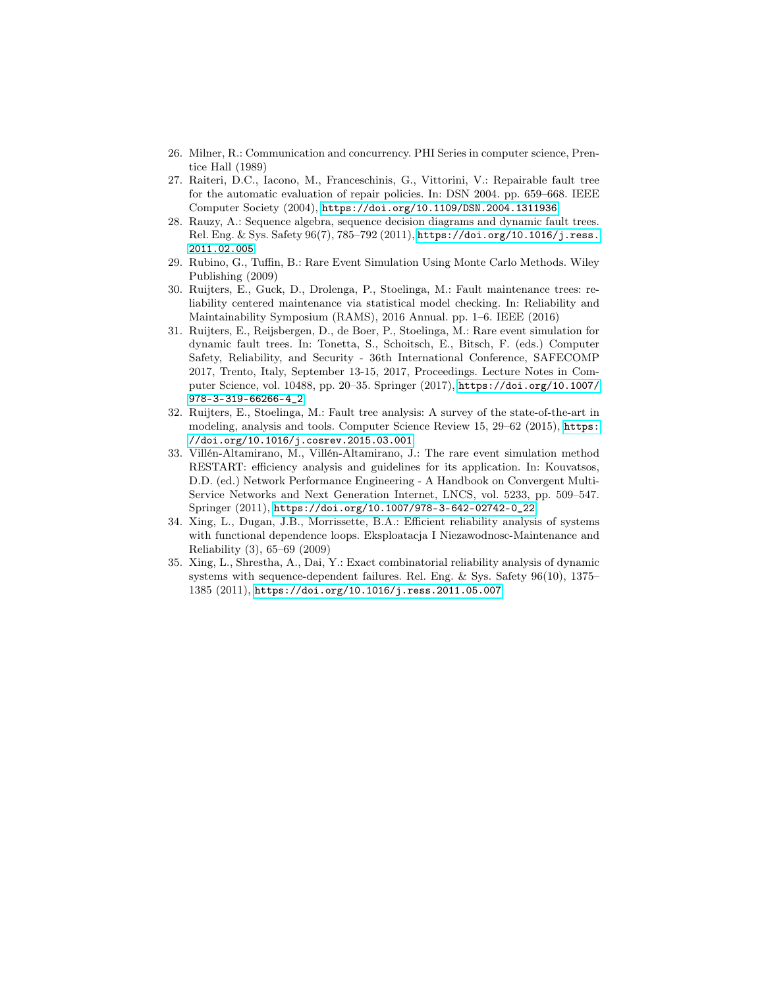- <span id="page-17-8"></span>26. Milner, R.: Communication and concurrency. PHI Series in computer science, Prentice Hall (1989)
- <span id="page-17-2"></span>27. Raiteri, D.C., Iacono, M., Franceschinis, G., Vittorini, V.: Repairable fault tree for the automatic evaluation of repair policies. In: DSN 2004. pp. 659–668. IEEE Computer Society (2004), <https://doi.org/10.1109/DSN.2004.1311936>
- <span id="page-17-0"></span>28. Rauzy, A.: Sequence algebra, sequence decision diagrams and dynamic fault trees. Rel. Eng. & Sys. Safety 96(7), 785–792 (2011), [https://doi.org/10.1016/j.ress.](https://doi.org/10.1016/j.ress.2011.02.005) [2011.02.005](https://doi.org/10.1016/j.ress.2011.02.005)
- <span id="page-17-5"></span>29. Rubino, G., Tuffin, B.: Rare Event Simulation Using Monte Carlo Methods. Wiley Publishing (2009)
- <span id="page-17-9"></span>30. Ruijters, E., Guck, D., Drolenga, P., Stoelinga, M.: Fault maintenance trees: reliability centered maintenance via statistical model checking. In: Reliability and Maintainability Symposium (RAMS), 2016 Annual. pp. 1–6. IEEE (2016)
- <span id="page-17-6"></span>31. Ruijters, E., Reijsbergen, D., de Boer, P., Stoelinga, M.: Rare event simulation for dynamic fault trees. In: Tonetta, S., Schoitsch, E., Bitsch, F. (eds.) Computer Safety, Reliability, and Security - 36th International Conference, SAFECOMP 2017, Trento, Italy, September 13-15, 2017, Proceedings. Lecture Notes in Computer Science, vol. 10488, pp. 20–35. Springer (2017), [https://doi.org/10.1007/](https://doi.org/10.1007/978-3-319-66266-4_2) [978-3-319-66266-4\\_2](https://doi.org/10.1007/978-3-319-66266-4_2)
- <span id="page-17-3"></span>32. Ruijters, E., Stoelinga, M.: Fault tree analysis: A survey of the state-of-the-art in modeling, analysis and tools. Computer Science Review 15, 29–62 (2015), [https:](https://doi.org/10.1016/j.cosrev.2015.03.001) [//doi.org/10.1016/j.cosrev.2015.03.001](https://doi.org/10.1016/j.cosrev.2015.03.001)
- <span id="page-17-4"></span>33. Villén-Altamirano, M., Villén-Altamirano, J.: The rare event simulation method RESTART: efficiency analysis and guidelines for its application. In: Kouvatsos, D.D. (ed.) Network Performance Engineering - A Handbook on Convergent Multi-Service Networks and Next Generation Internet, LNCS, vol. 5233, pp. 509–547. Springer (2011), [https://doi.org/10.1007/978-3-642-02742-0\\_22](https://doi.org/10.1007/978-3-642-02742-0_22)
- <span id="page-17-7"></span>34. Xing, L., Dugan, J.B., Morrissette, B.A.: Efficient reliability analysis of systems with functional dependence loops. Eksploatacja I Niezawodnosc-Maintenance and Reliability (3), 65–69 (2009)
- <span id="page-17-1"></span>35. Xing, L., Shrestha, A., Dai, Y.: Exact combinatorial reliability analysis of dynamic systems with sequence-dependent failures. Rel. Eng. & Sys. Safety 96(10), 1375– 1385 (2011), <https://doi.org/10.1016/j.ress.2011.05.007>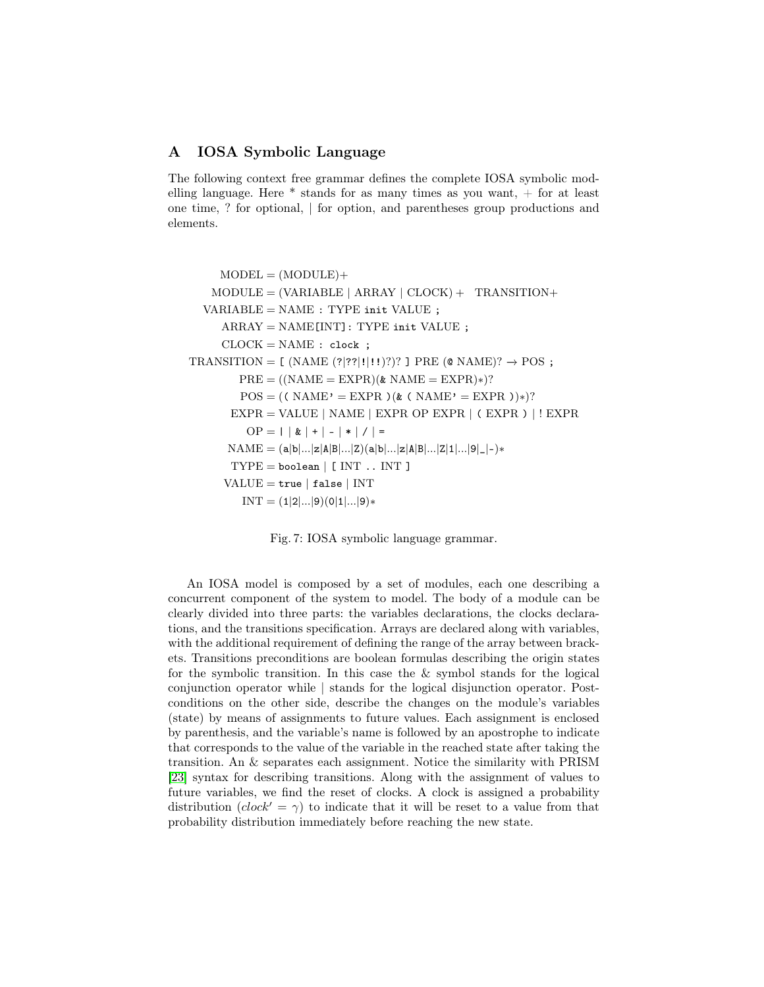## <span id="page-18-0"></span>A IOSA Symbolic Language

The following context free grammar defines the complete IOSA symbolic modelling language. Here  $*$  stands for as many times as you want,  $+$  for at least one time, ? for optional, | for option, and parentheses group productions and elements.

```
MODEL = (MODULE) +MODULE = (VARIABLE \mid ARRAY \mid CLOCAL) + TRANSITION+VARIABLE = NAME : TYPE init VALUE ;ARRAY = NAME[INT]: TYPE init VALUE ;
     CLOCK = NAME : clock ;TRANSITION = [ (NAME (?|??|!|!!)?)? ] PRE (\& NAME)? \rightarrow POS ;
        PRE = ((NAME = EXPR)(& NAME = EXPR)*)?
         POS = (( NAME' = EXPR)(& ( NAME' = EXPR))*?
       EXPR = VALUE | NAME | EXPR OP EXPR | (EXPR) | ! EXPROP = | | & | + | - | * | / | =NAME = (a|b|...|z|A|B|...|z)(a|b|...|z|A|B|...|z|1|...|9|_|-)*
       \text{TYPE} = \text{boolean} | [\text{INT} ... \text{INT}]VALUE = true | false | INTINT = (1|2|...|9)(0|1|...|9)*
```
Fig. 7: IOSA symbolic language grammar.

An IOSA model is composed by a set of modules, each one describing a concurrent component of the system to model. The body of a module can be clearly divided into three parts: the variables declarations, the clocks declarations, and the transitions specification. Arrays are declared along with variables, with the additional requirement of defining the range of the array between brackets. Transitions preconditions are boolean formulas describing the origin states for the symbolic transition. In this case the & symbol stands for the logical conjunction operator while | stands for the logical disjunction operator. Postconditions on the other side, describe the changes on the module's variables (state) by means of assignments to future values. Each assignment is enclosed by parenthesis, and the variable's name is followed by an apostrophe to indicate that corresponds to the value of the variable in the reached state after taking the transition. An & separates each assignment. Notice the similarity with PRISM [\[23\]](#page-16-12) syntax for describing transitions. Along with the assignment of values to future variables, we find the reset of clocks. A clock is assigned a probability distribution  $(clock' = \gamma)$  to indicate that it will be reset to a value from that probability distribution immediately before reaching the new state.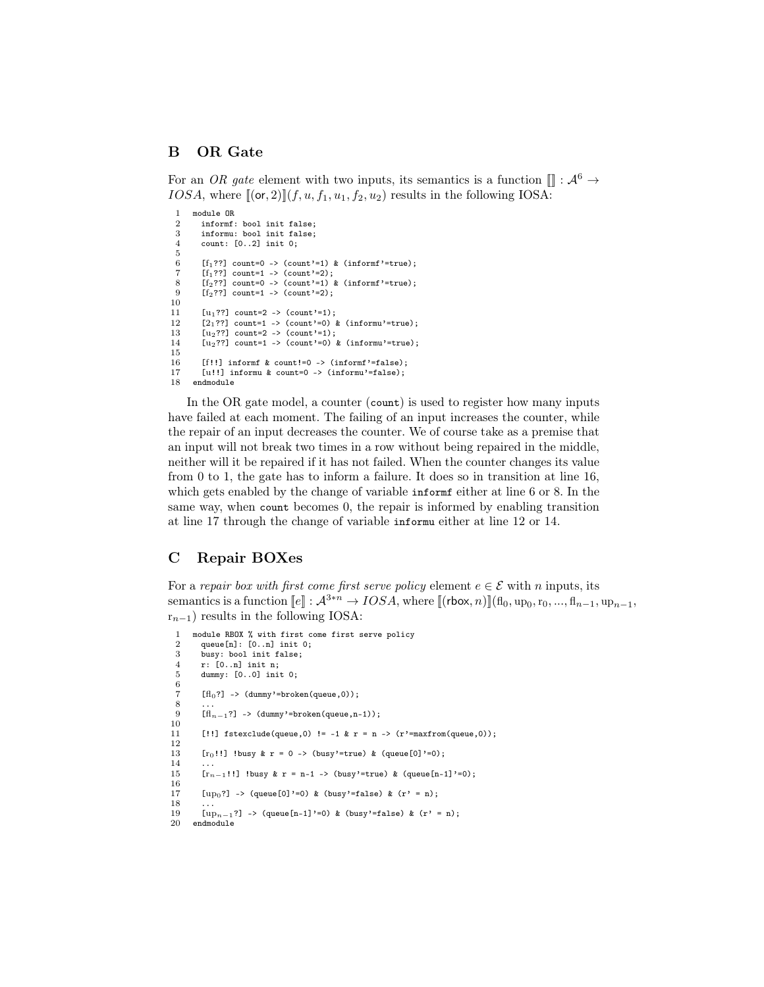# <span id="page-19-0"></span>B OR Gate

For an OR gate element with two inputs, its semantics is a function  $\llbracket \cdot, \mathcal{A}^6 \rightarrow$ IOSA, where  $[(\text{or}, 2)](f, u, f_1, u_1, f_2, u_2)$  results in the following IOSA:

```
1 module OR<br>2 informf
 2 informf: bool init false;<br>3 informu: bool init false:
 3 informu: bool init false;<br>4 count: [0..2] init 0:
          count: [0..2] init 0;5
 6 [f_1??] count=0 -> (count'=1) & (informf'=true);
 7 [f_1??] count=1 -> (count'=2);<br>8 [f_2??] count=0 -> (count'=1) &
 8 [f_2??] count=0 -> (count'=1) & (informf'=true);<br>9 [f_2??] count=1 -> (count'=2):
          [f_2??] count=1 -> (count'=2);
\begin{array}{c} 10 \\ 11 \end{array}11 [u_1??] count=2 -> (count'=1);<br>12 [2, ??] count=1 -> (count'=0)
12 [2]^{27} count=1 -> (count'=0) & (informu'=true);<br>13 [12]^{27} count=2 -> (count'=1);
13 [u_2??] count=2 -> (count'=1);<br>14 [u_2??] count=1 -> (count'=0) {
          [u_2??] count=1 -> (count'=0) & (informu'=true);
\frac{15}{16}[f!!] informf & count!=0 -> (informf'=false);
17 [u!!] informu & count=0 -> (informu'=false);<br>18 endmodule
       endmodule
```
In the OR gate model, a counter (count) is used to register how many inputs have failed at each moment. The failing of an input increases the counter, while the repair of an input decreases the counter. We of course take as a premise that an input will not break two times in a row without being repaired in the middle, neither will it be repaired if it has not failed. When the counter changes its value from 0 to 1, the gate has to inform a failure. It does so in transition at line 16, which gets enabled by the change of variable informf either at line 6 or 8. In the same way, when count becomes 0, the repair is informed by enabling transition at line 17 through the change of variable informu either at line 12 or 14.

# <span id="page-19-1"></span>C Repair BOXes

For a repair box with first come first serve policy element  $e \in \mathcal{E}$  with n inputs, its semantics is a function  $[\![e]\!] : \mathcal{A}^{3*n} \to IOSA$ , where  $[\![(\text{rbox}, n)]\!] (\mathbf{fl}_0, \mathbf{up}_0, \mathbf{r}_0, ..., \mathbf{fl}_{n-1}, \mathbf{up}_{n-1},$  $r_{n-1}$ ) results in the following IOSA:

```
1 module RBOX % with first come first serve policy<br>2 queue[n]: [0..n] init 0;
 2 queue[n]: [0..n] init 0;<br>3 busy: bool init false;
 \frac{3}{4} busy: bool init false;<br>\frac{4}{4} r: \left[0..n\right] init n:
 4 r: [0..n] init n;<br>5 dummy: [0..0] ini
         dummy: [0..0] init 0;
 6
 7 [H_0?] -> (dummy'=broken(queue,0));
  8 ...
 9 [H_{n-1}?] -> (dummy'=broken(queue,n-1));
\frac{10}{11}[!!] fstexclude(queue,0) != -1 & r = n -> (r'=maxfrom(queue,0));
12
13 [r_0!!] !busy & r = 0 -> (busy'=true) & (queue[0]'=0);
\frac{14}{15}[r_{n-1}!] !busy & r = n-1 -> (busy'=true) & (queue[n-1]'=0);
\frac{16}{17}[up_0?] -> (queue[0]'=0) & (busy'=false) & (r' = n);
\frac{18}{19}19 \text{[up}_{n-1}?] -> (queue[n-1]'=0) & (busy'=false) & (r' = n);<br>20 endmodule
      endmodule
```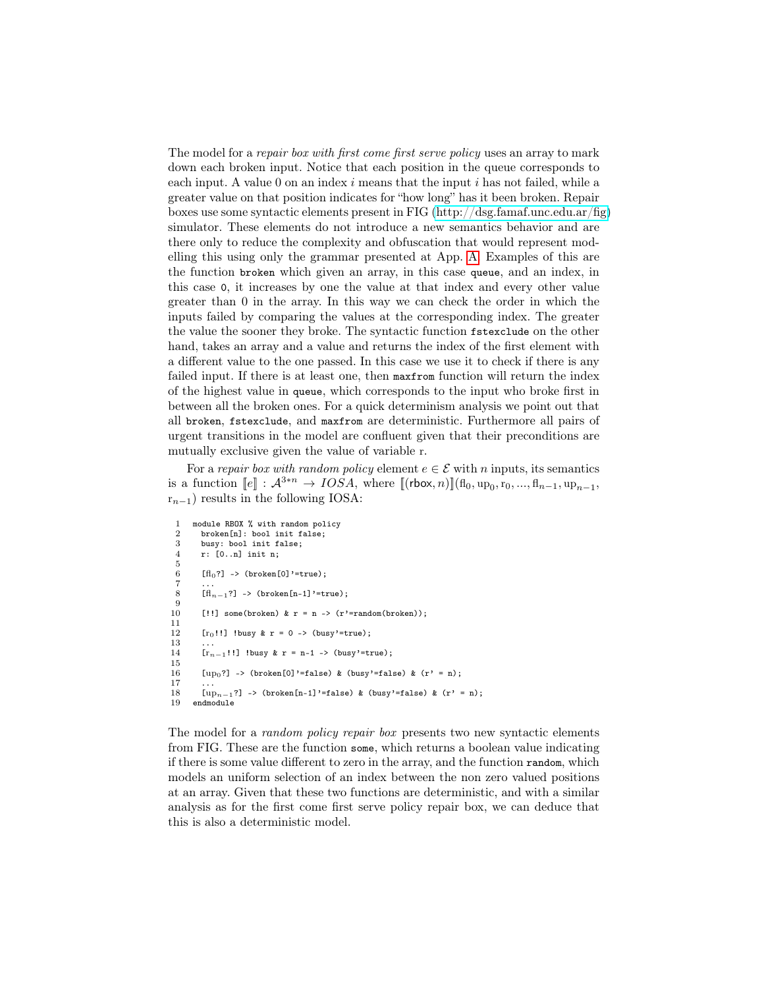The model for a *repair box with first come first serve policy* uses an array to mark down each broken input. Notice that each position in the queue corresponds to each input. A value 0 on an index  $i$  means that the input  $i$  has not failed, while a greater value on that position indicates for "how long" has it been broken. Repair boxes use some syntactic elements present in FIG [\(http://dsg.famaf.unc.edu.ar/fig\)](http://dsg.famaf.unc.edu.ar/fig) simulator. These elements do not introduce a new semantics behavior and are there only to reduce the complexity and obfuscation that would represent modelling this using only the grammar presented at App. [A.](#page-18-0) Examples of this are the function broken which given an array, in this case queue, and an index, in this case 0, it increases by one the value at that index and every other value greater than 0 in the array. In this way we can check the order in which the inputs failed by comparing the values at the corresponding index. The greater the value the sooner they broke. The syntactic function fstexclude on the other hand, takes an array and a value and returns the index of the first element with a different value to the one passed. In this case we use it to check if there is any failed input. If there is at least one, then maxfrom function will return the index of the highest value in queue, which corresponds to the input who broke first in between all the broken ones. For a quick determinism analysis we point out that all broken, fstexclude, and maxfrom are deterministic. Furthermore all pairs of urgent transitions in the model are confluent given that their preconditions are mutually exclusive given the value of variable r.

For a repair box with random policy element  $e \in \mathcal{E}$  with n inputs, its semantics is a function  $[\![e]\!] : \mathcal{A}^{3*n} \to IOSA$ , where  $[\![(\text{rbox}, n)]\!] (\mathbf{fl}_0, \mathbf{up}_0, \mathbf{r}_0, ..., \mathbf{fl}_{n-1}, \mathbf{up}_{n-1},$  $r_{n-1}$ ) results in the following IOSA:

```
1 module RBOX % with random policy<br>2 broken[n]: bool init false;
 2 broken[n]: bool init false;<br>3 busv: bool init false:
        busy: bool init false:
 4 r: [0..n] init n;
 \frac{5}{6}[f]_{0}?] -> (broken[0]'=true);
  7 ...<br>8 [fl<sub>n-1</sub>?] -> (broken[n-1]'=true);
\frac{9}{10}[!!] some(broken) & r = n \rightarrow (r'=random(broken));
11
12 [r_0!!] !busy & r = 0 -> (busy'=true);
13
14 [r_{n-1}!] !busy & r = n-1 -> (busy'=true);
15
16 [\text{up}_0?] -> (broken[0]'=false) & (busy'=false) & (r' = n);
\frac{17}{18}18 \left[\text{up}_{n-1}\right] -> (broken\left[n-1\right]'=false) & (busy'=false) & (r' = n);<br>19 endmodule
      endmodule
```
The model for a *random policy repair box* presents two new syntactic elements from FIG. These are the function some, which returns a boolean value indicating if there is some value different to zero in the array, and the function random, which models an uniform selection of an index between the non zero valued positions at an array. Given that these two functions are deterministic, and with a similar analysis as for the first come first serve policy repair box, we can deduce that this is also a deterministic model.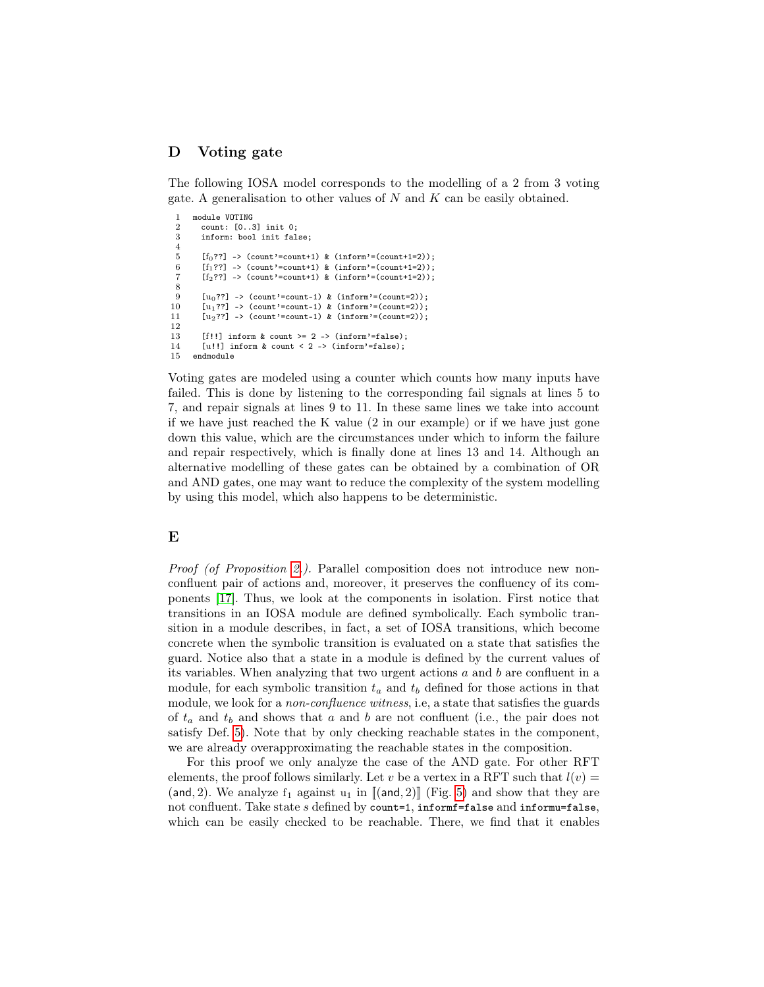# <span id="page-21-0"></span>D Voting gate

The following IOSA model corresponds to the modelling of a 2 from 3 voting gate. A generalisation to other values of  $N$  and  $K$  can be easily obtained.

```
1 module VOTING<br>2 count: [0..3
 2 count: [0..3] init 0;<br>3 inform: bool init fal
        inform: bool init false;
 4
 5 [f_0??] -> (count'=count+1) & (inform'=(count+1=2));
 6 [f_1??] -> (count'=count+1) & (inform'=(count+1=2));
 7 [f<sub>2</sub>??] -> (count'=count+1) & (inform'=(count+1=2));
 8
9 [u_0??] -> (count'=count-1) & (inform'=(count=2));<br>10 [u_1??] -> (count'=count-1) & (inform'=(count=2));
        [u_1??] -> (count'=count-1) & (inform'=(count=2));
11 [u_2??] -> (count'=count-1) & (inform'=(count=2));
12
13 [f!!] inform & count >= 2 \rightarrow (inform'=false);
14 [u!!] inform & count < 2 -> (inform'=false);<br>15 endmodule
      endmodule
```
Voting gates are modeled using a counter which counts how many inputs have failed. This is done by listening to the corresponding fail signals at lines 5 to 7, and repair signals at lines 9 to 11. In these same lines we take into account if we have just reached the K value (2 in our example) or if we have just gone down this value, which are the circumstances under which to inform the failure and repair respectively, which is finally done at lines 13 and 14. Although an alternative modelling of these gates can be obtained by a combination of OR and AND gates, one may want to reduce the complexity of the system modelling by using this model, which also happens to be deterministic.

#### <span id="page-21-1"></span>E

Proof (of Proposition [2.](#page-12-2)). Parallel composition does not introduce new nonconfluent pair of actions and, moreover, it preserves the confluency of its components [\[17\]](#page-16-8). Thus, we look at the components in isolation. First notice that transitions in an IOSA module are defined symbolically. Each symbolic transition in a module describes, in fact, a set of IOSA transitions, which become concrete when the symbolic transition is evaluated on a state that satisfies the guard. Notice also that a state in a module is defined by the current values of its variables. When analyzing that two urgent actions  $a$  and  $b$  are confluent in a module, for each symbolic transition  $t_a$  and  $t_b$  defined for those actions in that module, we look for a *non-confluence witness*, i.e, a state that satisfies the guards of  $t_a$  and  $t_b$  and shows that a and b are not confluent (i.e., the pair does not satisfy Def. [5\)](#page-11-0). Note that by only checking reachable states in the component, we are already overapproximating the reachable states in the composition.

For this proof we only analyze the case of the AND gate. For other RFT elements, the proof follows similarly. Let v be a vertex in a RFT such that  $l(v) =$ (and, 2). We analyze  $f_1$  against  $u_1$  in  $\llbracket (\text{and}, 2) \rrbracket$  (Fig. [5\)](#page-10-0) and show that they are not confluent. Take state s defined by count=1, informf=false and informu=false, which can be easily checked to be reachable. There, we find that it enables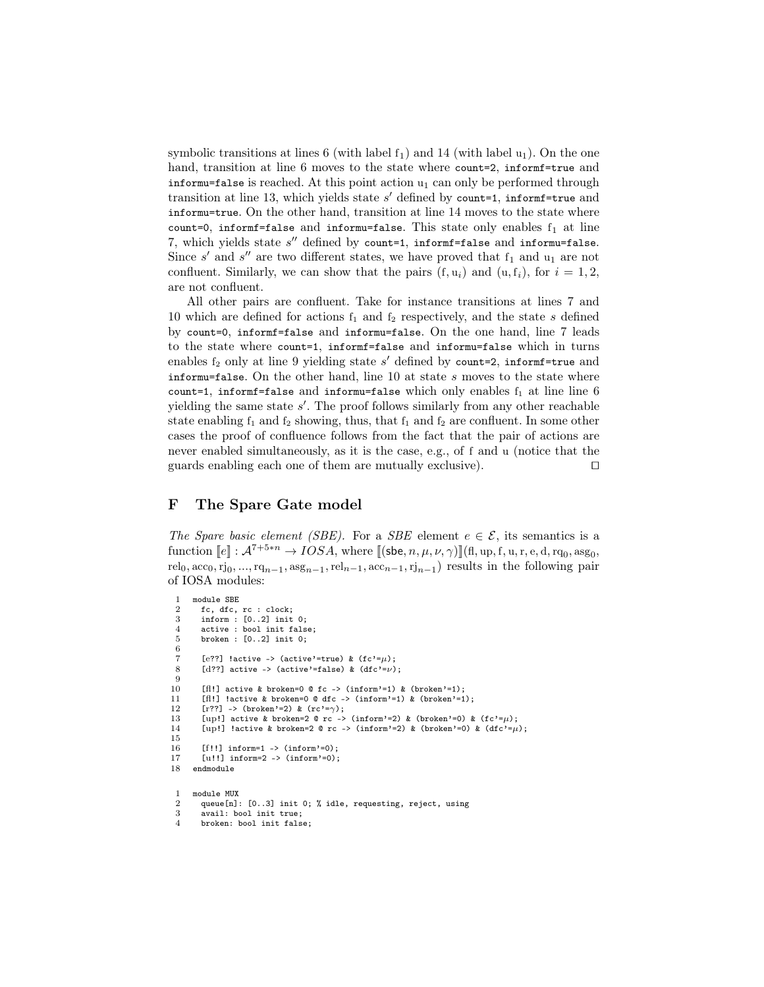symbolic transitions at lines 6 (with label  $f_1$ ) and 14 (with label  $u_1$ ). On the one hand, transition at line 6 moves to the state where count=2, informet=true and informu=false is reached. At this point action  $u_1$  can only be performed through transition at line 13, which yields state  $s'$  defined by count=1, informf=true and informu=true. On the other hand, transition at line 14 moves to the state where count=0, informf=false and informu=false. This state only enables  $f_1$  at line 7, which yields state  $s''$  defined by count=1, informf=false and informu=false. Since  $s'$  and  $s''$  are two different states, we have proved that  $f_1$  and  $u_1$  are not confluent. Similarly, we can show that the pairs  $(f, u_i)$  and  $(u, f_i)$ , for  $i = 1, 2$ , are not confluent.

All other pairs are confluent. Take for instance transitions at lines 7 and 10 which are defined for actions  $f_1$  and  $f_2$  respectively, and the state s defined by count=0, informf=false and informu=false. On the one hand, line 7 leads to the state where count=1, informf=false and informu=false which in turns enables  $f_2$  only at line 9 yielding state  $s'$  defined by count=2, informf=true and informu=false. On the other hand, line  $10$  at state  $s$  moves to the state where count=1, informf=false and informu=false which only enables  $f_1$  at line line 6 yielding the same state  $s'$ . The proof follows similarly from any other reachable state enabling  $f_1$  and  $f_2$  showing, thus, that  $f_1$  and  $f_2$  are confluent. In some other cases the proof of confluence follows from the fact that the pair of actions are never enabled simultaneously, as it is the case, e.g., of f and u (notice that the guards enabling each one of them are mutually exclusive).  $\Box$ 

#### <span id="page-22-0"></span>F The Spare Gate model

The Spare basic element (SBE). For a SBE element  $e \in \mathcal{E}$ , its semantics is a function  $[\![e]\!] : \mathcal{A}^{7+5*n} \to IOSA$ , where  $[\![(\mathsf{sbe}, n, \mu, \nu, \gamma)]\!] (\mathsf{fl}, \mathsf{up}, \mathsf{f}, \mathsf{u}, \mathsf{r}, \mathsf{e}, \mathsf{d}, \mathsf{rq}_0, \mathsf{ass}_0,$ rel<sub>0</sub>,  $\text{acc}_0, \text{rj}_0, ..., \text{rq}_{n-1}, \text{asg}_{n-1}, \text{rel}_{n-1}, \text{acc}_{n-1}, \text{rj}_{n-1}$  results in the following pair of IOSA modules:

```
\frac{1}{2} module SBE<br>\frac{1}{2} fc, dfc,
       2 fc, dfc, rc : clock;
 3 inform : [0..2] init 0;
 4 active : bool init false;
 5 broken : [0..2] init 0;
 6
 7 [e??] !active -> (active'=true) & (fc)=u);
 8 [d??] active -> (active'=false) & (dfc'=\nu);
 9
10 \left[ \text{f1!} \right] active & broken=0 @ fc -> (inform'=1) & (broken'=1);
11 [fl!] !active & broken=0 @ dfc -> (inform'=1) & (broken'=1);
12 [r?]} -> (broken'=2) & (rc'=\gamma);13 [up!] active & broken=2 @ rc -> (inform'=2) & (broken'=0) & (fc'=\mu);
14 [up!] !active & broken=2 @ rc -> (inform'=2) & (broken'=0) & (dfc'=\mu);
15
16 [f!!] inform=1 -> (inform'=0);<br>17 [u!!] inform=2 -> (inform'=0);
       \lceil u!! \rceil inform=2 -> (inform'=0);
18 endmodule
 1 module MUX
 2 queue[n]: [0..3] init 0; % idle, requesting, reject, using<br>3 avail: bool init true:
       avail: bool init true:
```

```
4 broken: bool init false;
```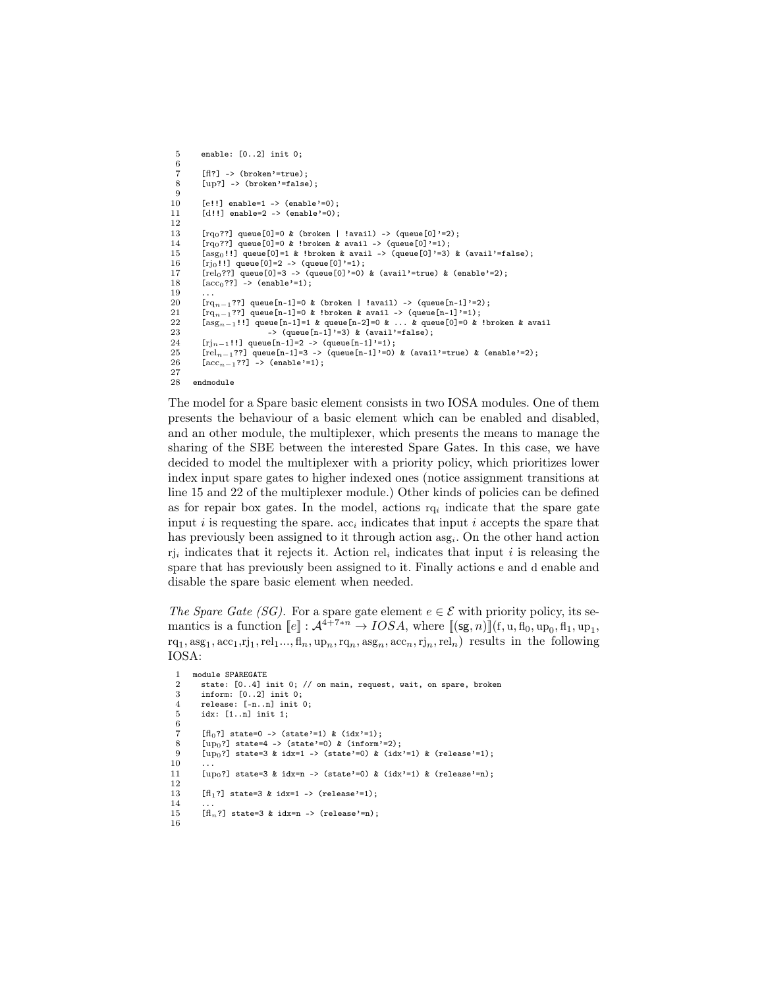```
5 enable: [0..2] init 0;
 6
  7 [ff?] -> (broken'=true);<br>8 [up?] -> (broken'=false
              [up?] -> (broken'=false);
\begin{array}{c} 9 \\ 10 \end{array}10 [e!!] enable=1 -> (enable'=0);<br>11 [d!!] enable=2 -> (enable'=0);
              [d!!] enable=2 -> (enable'=0);
\begin{array}{c} 12 \\ 13 \end{array}13 [rq_0??] queue[0]=0 & (broken | !avail) -> (queue[0]'=2);<br>14 [rq_0??] queue[0]=0 & !broken & avail -> (queue[0]'=1);
14 \left[\text{rq}_0??] queue[0]=0 & !broken & avail -> (queue[0]<sup>3</sup>=1);<br>15 \left[\text{ass}_0!!] queue[0]=1 & !broken & avail -> (queue[0]<sup>3</sup>=3)
15 [asg<sub>0</sub>!!] queue[0]=1 & !broken & avail -> (queue[0]'=3) & (avail'=false);<br>16 [ri<sub>0</sub>!!] queue[0]=2 -> (queue[0]'=1);
16 [rj_0!] [right] queue [0] = 2 -> (queue [0]'=1);<br>17 [rel_0?? queue [0] = 3 -> (queue [0]'=0)
17 [rel_0??] queue[0]=3 -> (queue[0]'=0) & (avail'=true) & (enable'=2);<br>18 [acc_0??] -> (enable'=1);
              [acc_0??] -> (enable'-1);\frac{19}{20}20 \left[\text{rq}_{n-1}?\right] queue\left[\text{n-1}\right]=0 & (broken | !avail) -> (queue\left[\text{n-1}\right]'=2);<br>21 \left[\text{rr}_{n-1}?\right] queue\left[\text{n-1}\right]=0 & !broken & avail -> (queue\left[\text{n-1}\right]'=1);
21 \left[\text{rq}_{n-1}\right]??] queue\left[n-1\right]=0 & !broken & avail -> (queue\left[n-1\right]'=1);<br>22 \left[\text{ass}_{n-1}!\right] queue\left[n-1\right]=1 & queue\left[n-2\right]=0 & ... & queue\left[0\right]=0 &
22 [\text{asg}_{n-1}!] queue[n-1]=1 & queue[n-2]=0 & ... & queue[0]=0 & !broken & avail<br>23 -> (queue[n-1]'=3) & (avail'=false):
23 -> (queue[n-1]'=3) & (avail'=false);<br>24 [ri_{n-1}!] queue[n-1]=2 -> (queue[n-1]'=1);
24 [rj_{n-1}!]: queue [n-1]=2 -> (queue [n-1]'=1);<br>25 [r\epsilon]_{n-1}?? queue [n-1]=3 -> (queue [n-1]'=0)
\begin{bmatrix} 1 & 0 & 0 & 0 \\ 0 & 0 & 0 & 0 \\ 0 & 0 & 0 & 0 \\ 0 & 0 & 0 & 0 \end{bmatrix} (n=1, -1) =3 -> (queue[n-1]'=0) & (avail'=true) & (enable'=2);
              [acc_{n-1}??] -> (enable'=1);
\frac{27}{28}endmodule
```
The model for a Spare basic element consists in two IOSA modules. One of them presents the behaviour of a basic element which can be enabled and disabled, and an other module, the multiplexer, which presents the means to manage the sharing of the SBE between the interested Spare Gates. In this case, we have decided to model the multiplexer with a priority policy, which prioritizes lower index input spare gates to higher indexed ones (notice assignment transitions at line 15 and 22 of the multiplexer module.) Other kinds of policies can be defined as for repair box gates. In the model, actions  $r q_i$  indicate that the spare gate input i is requesting the spare.  $acc<sub>i</sub>$  indicates that input i accepts the spare that has previously been assigned to it through action  $\text{asg}_i$ . On the other hand action  $r_{i,i}$  indicates that it rejects it. Action rel<sub>i</sub> indicates that input i is releasing the spare that has previously been assigned to it. Finally actions e and d enable and disable the spare basic element when needed.

The Spare Gate (SG). For a spare gate element  $e \in \mathcal{E}$  with priority policy, its semantics is a function  $[e] : \mathcal{A}^{4+7*n} \to IOSA$ , where  $[[(\mathsf{sg}, n)]](f, u, \mathsf{fl}_0, \mathrm{up}_0, \mathsf{fl}_1, \mathrm{up}_1,$  $\text{rq}_1, \text{asg}_1, \text{acc}_1, \text{rj}_1, \text{rel}_1, \dots, \text{fl}_n, \text{up}_n, \text{rq}_n, \text{asg}_n, \text{acc}_n, \text{rj}_n, \text{rel}_n$  results in the following IOSA:

```
1 module SPAREGATE<br>2 state: [0.4] i
 2 state: [0..4] init 0; // on main, request, wait, on spare, broken 3 inform: [0..2] init 0;
  \begin{array}{ll}\n 3 & \text{inform: [0..2] init 0;} \\
 4 & \text{release: [-n n] init 0}\n \end{array}4 release: [-n..n] init 0;<br>5 idx: [1..n] init 1:
           5 idx: [1..n] init 1;
  6
 7 [fl_0?] state=0 -> (state'=1) & (idx'=1);<br>8 [up_0?] state=4 -> (state'=0) & (inform'
 8 [up<sub>0</sub>?] state=4 -> (state'=0) & (inform'=2);<br>9 [up<sub>0</sub>?] state=3 & idx=1 -> (state'=0) & (idx
            [up_0?] state=3 & idx=1 -> (state'=0) & (idx'=1) & (release'=1);
\begin{array}{c} 10 \\ 11 \end{array}[up_0?] state=3 & idx=n -> (state'=0) & (idx'=1) & (release'=n);
\begin{array}{c} 12 \\ 13 \end{array}[fl<sub>1</sub>?] state=3 & idx=1 -> (release'=1);
\frac{14}{15}\left[\text{fl}_n?\right] state=3 & idx=n -> (release'=n);
16
```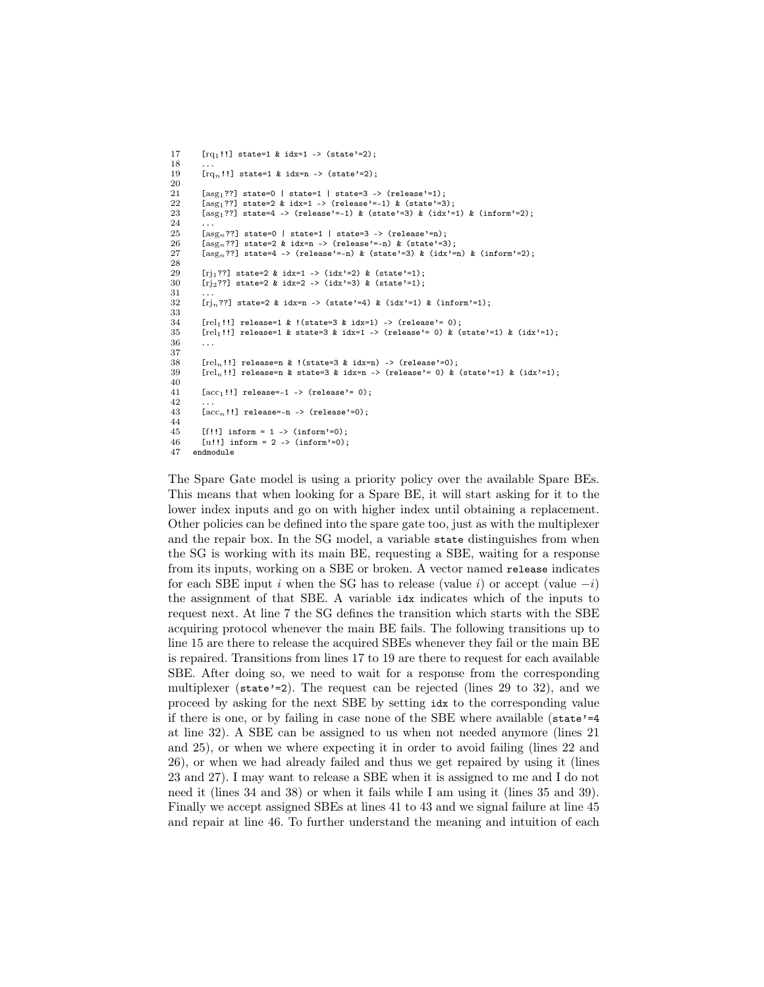```
17 [rq<sub>1</sub>!!] state=1 & idx=1 -> (state'=2);
\frac{18}{19}[rq_n!!] state=1 & idx=n -> (state'=2);
\frac{20}{21}21 [\text{asg}_1??] state=0 | state=1 | state=3 -> (release'=1);<br>22 [\text{asg}_1??] state=2 & idx=1 -> (release'=-1) & (state'=3
22 [asg1??] state=2 & idx=1 -> (release'=-1) & (state'=3);<br>23 [asg1??] state=4 -> (release'=-1) & (state'=3) & (idx'
          [asg_1??] state=4 -> (release'=-1) & (state'=3) & (idx'=1) & (inform'=2);
\frac{24}{25}25 [\text{asg}_n??] state=0 | state=1 | state=3 -> (release'=n);<br>26 [\text{asg}_n??] state=2 & idx=n -> (release'=-n) & (state'=2
26 [\text{as}g_n??] state=2 & idx=n -> (release'=-n) & (state'=3);<br>27 [\text{as}g_n??] state=4 -> (release'=-n) & (state'=3) & (idx'=
          [\text{asg}_n??] state=4 -> (release'=-n) & (state'=3) & (idx'=n) & (inform'=2);
\frac{28}{29}29 [rj1??] state=2 & idx=1 -> (idx'=2) & (state'=1);<br>30 [rj2??] state=2 & idx=2 -> (idx'=3) & (state'=1);
          [rj_2??] state=2 & idx=2 -> (idx'=3) & (state'=1);
\frac{31}{32}\lceil \text{ri}_n??] state=2 & idx=n -> (state'=4) & (idx'=1) & (inform'=1);
33
34 [rel<sub>1</sub>!!] release=1 & !(state=3 & idx=1) -> (release'= 0);<br>35 [rel<sub>1</sub>!!] release=1 & state=3 & idx=1 -> (release'= 0) & (
35 [rel_1!] release=1 & state=3 & idx=1 -> (release'= 0) & (state'=1) & (idx'=1);<br>36 ...
          36 ...
\begin{array}{c} 37 \\ 38 \end{array}[rel_n!!] release=n & !(state=3 & idx=n) -> (release'=0);
39 [rel_n!!] release=n & state=3 & idx=n -> (release'= 0) & (state'=1) & (idx'=1);
40
41 [\text{acc}_1!] release=-1 -> (release'= 0);
\frac{42}{43}[\text{acc}_n!!] release=-n -> (release'=0);
\frac{44}{45}[f!!] inform = 1 -> (inform'=0);
46 [u!!] inform = 2 -> (inform'=0);
47 endmodule
```
The Spare Gate model is using a priority policy over the available Spare BEs. This means that when looking for a Spare BE, it will start asking for it to the lower index inputs and go on with higher index until obtaining a replacement. Other policies can be defined into the spare gate too, just as with the multiplexer and the repair box. In the SG model, a variable state distinguishes from when the SG is working with its main BE, requesting a SBE, waiting for a response from its inputs, working on a SBE or broken. A vector named release indicates for each SBE input i when the SG has to release (value i) or accept (value  $-i$ ) the assignment of that SBE. A variable idx indicates which of the inputs to request next. At line 7 the SG defines the transition which starts with the SBE acquiring protocol whenever the main BE fails. The following transitions up to line 15 are there to release the acquired SBEs whenever they fail or the main BE is repaired. Transitions from lines 17 to 19 are there to request for each available SBE. After doing so, we need to wait for a response from the corresponding multiplexer (state'=2). The request can be rejected (lines 29 to 32), and we proceed by asking for the next SBE by setting idx to the corresponding value if there is one, or by failing in case none of the SBE where available (state'=4 at line 32). A SBE can be assigned to us when not needed anymore (lines 21 and 25), or when we where expecting it in order to avoid failing (lines 22 and 26), or when we had already failed and thus we get repaired by using it (lines 23 and 27). I may want to release a SBE when it is assigned to me and I do not need it (lines 34 and 38) or when it fails while I am using it (lines 35 and 39). Finally we accept assigned SBEs at lines 41 to 43 and we signal failure at line 45 and repair at line 46. To further understand the meaning and intuition of each